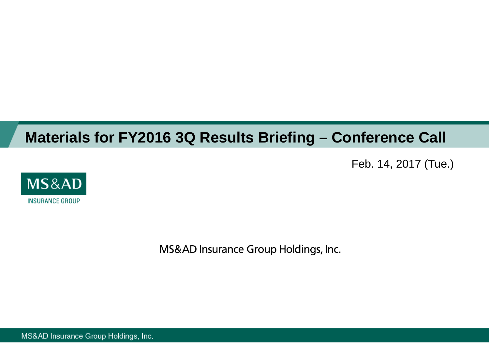# **Materials for FY2016 3Q Results Briefing – Conference Call**

Feb. 14, 2017 (Tue.)



MS&AD Insurance Group Holdings, Inc.

MS&AD Insurance Group Holdings, Inc.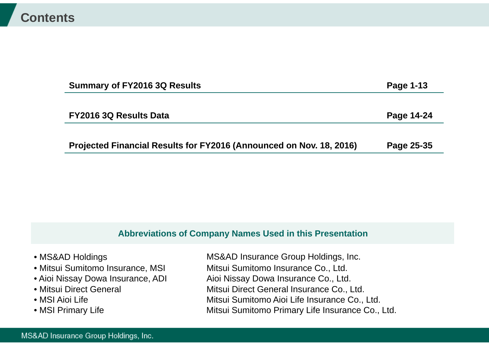| <b>Summary of FY2016 3Q Results</b>                                 | Page 1-13  |
|---------------------------------------------------------------------|------------|
|                                                                     |            |
| FY2016 3Q Results Data                                              | Page 14-24 |
|                                                                     |            |
| Projected Financial Results for FY2016 (Announced on Nov. 18, 2016) | Page 25-35 |

### **Abbreviations of Company Names Used in this Presentation**

| • MS&AD Holdings                  | MS&AD Insurance Group Holdings, Inc.             |
|-----------------------------------|--------------------------------------------------|
| • Mitsui Sumitomo Insurance, MSI  | Mitsui Sumitomo Insurance Co., Ltd.              |
| • Aioi Nissay Dowa Insurance, ADI | Aioi Nissay Dowa Insurance Co., Ltd.             |
| • Mitsui Direct General           | Mitsui Direct General Insurance Co., Ltd.        |
| • MSI Aioi Life                   | Mitsui Sumitomo Aioi Life Insurance Co., Ltd.    |
| • MSI Primary Life                | Mitsui Sumitomo Primary Life Insurance Co., Ltd. |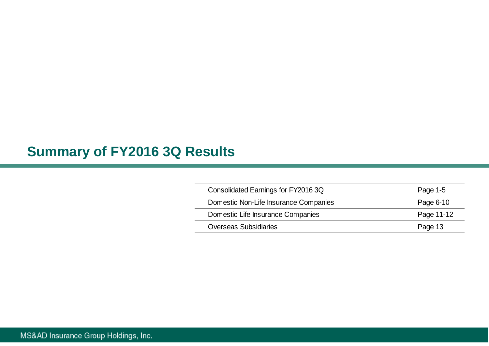## **Summary of FY2016 3Q Results**

| Consolidated Earnings for FY2016 3Q   | Page 1-5   |
|---------------------------------------|------------|
| Domestic Non-Life Insurance Companies | Page 6-10  |
| Domestic Life Insurance Companies     | Page 11-12 |
| <b>Overseas Subsidiaries</b>          | Page 13    |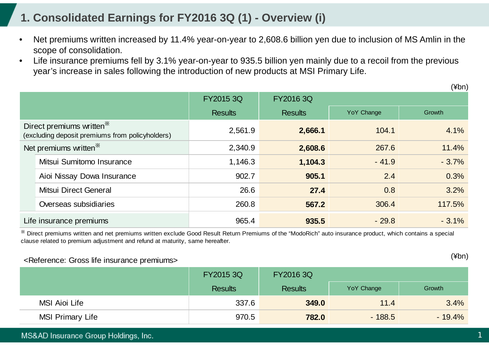### **1. Consolidated Earnings for FY2016 3Q (1) - Overview (i)**

- • Net premiums written increased by 11.4% year-on-year to 2,608.6 billion yen due to inclusion of MS Amlin in the scope of consolidation.
- • Life insurance premiums fell by 3.1% year-on-year to 935.5 billion yen mainly due to a recoil from the previous year's increase in sales following the introduction of new products at MSI Primary Life.

|                                                                                         |                                   | FY2015 3Q      | FY2016 3Q      |                   |          |
|-----------------------------------------------------------------------------------------|-----------------------------------|----------------|----------------|-------------------|----------|
|                                                                                         |                                   | <b>Results</b> | <b>Results</b> | <b>YoY Change</b> | Growth   |
| Direct premiums written <sup>*</sup><br>(excluding deposit premiums from policyholders) |                                   | 2,561.9        | 2,666.1        | 104.1             | 4.1%     |
|                                                                                         | Net premiums written <sup>*</sup> | 2,340.9        | 2,608.6        | 267.6             | 11.4%    |
|                                                                                         | Mitsui Sumitomo Insurance         | 1,146.3        | 1,104.3        | $-41.9$           | $-3.7%$  |
|                                                                                         | Aioi Nissay Dowa Insurance        | 902.7          | 905.1          | 2.4               | 0.3%     |
|                                                                                         | Mitsui Direct General             | 26.6           | 27.4           | 0.8               | 3.2%     |
|                                                                                         | Overseas subsidiaries             | 260.8          | 567.2          | 306.4             | 117.5%   |
|                                                                                         | Life insurance premiums           | 965.4          | 935.5          | $-29.8$           | $-3.1\%$ |

※ Direct premiums written and net premiums written exclude Good Result Return Premiums of the "ModoRich" auto insurance product, which contains a special clause related to premium adjustment and refund at maturity, same hereafter.

#### <Reference: Gross life insurance premiums>

|                         | <b>FY2015 3Q</b> | FY2016 3Q      |            |           |  |
|-------------------------|------------------|----------------|------------|-----------|--|
|                         | <b>Results</b>   | <b>Results</b> | YoY Change | Growth    |  |
| MSI Aioi Life           | 337.6            | 349.0          | 11.4       | 3.4%      |  |
| <b>MSI Primary Life</b> | 970.5            | 782.0          | $-188.5$   | $-19.4\%$ |  |

(¥bn)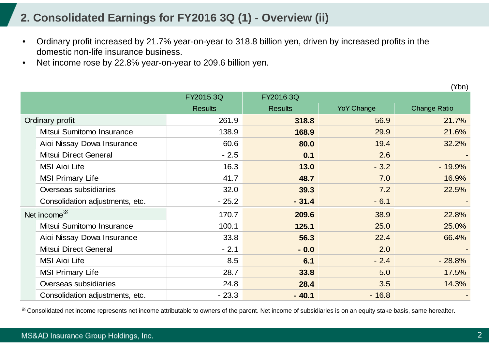### **2. Consolidated Earnings for FY2016 3Q (1) - Overview (ii)**

- • Ordinary profit increased by 21.7% year-on-year to 318.8 billion yen, driven by increased profits in the domestic non-life insurance business.
- •Net income rose by 22.8% year-on-year to 209.6 billion yen.

(¥bn)

|                                 | FY2015 3Q      | FY2016 3Q      |                   |                     |
|---------------------------------|----------------|----------------|-------------------|---------------------|
|                                 | <b>Results</b> | <b>Results</b> | <b>YoY Change</b> | <b>Change Ratio</b> |
| Ordinary profit                 | 261.9          | 318.8          | 56.9              | 21.7%               |
| Mitsui Sumitomo Insurance       | 138.9          | 168.9          | 29.9              | 21.6%               |
| Aioi Nissay Dowa Insurance      | 60.6           | 80.0           | 19.4              | 32.2%               |
| <b>Mitsui Direct General</b>    | $-2.5$         | 0.1            | 2.6               |                     |
| <b>MSI Aioi Life</b>            | 16.3           | 13.0           | $-3.2$            | $-19.9%$            |
| <b>MSI Primary Life</b>         | 41.7           | 48.7           | 7.0               | 16.9%               |
| Overseas subsidiaries           | 32.0           | 39.3           | 7.2               | 22.5%               |
| Consolidation adjustments, etc. | $-25.2$        | $-31.4$        | $-6.1$            |                     |
| Net income <sup>*</sup>         | 170.7          | 209.6          | 38.9              | 22.8%               |
| Mitsui Sumitomo Insurance       | 100.1          | 125.1          | 25.0              | 25.0%               |
| Aioi Nissay Dowa Insurance      | 33.8           | 56.3           | 22.4              | 66.4%               |
| Mitsui Direct General           | $-2.1$         | $-0.0$         | 2.0               |                     |
| <b>MSI Aioi Life</b>            | 8.5            | 6.1            | $-2.4$            | $-28.8%$            |
| <b>MSI Primary Life</b>         | 28.7           | 33.8           | 5.0               | 17.5%               |
| Overseas subsidiaries           | 24.8           | 28.4           | 3.5               | 14.3%               |
| Consolidation adjustments, etc. | $-23.3$        | $-40.1$        | $-16.8$           |                     |

※ Consolidated net income represents net income attributable to owners of the parent. Net income of subsidiaries is on an equity stake basis, same hereafter.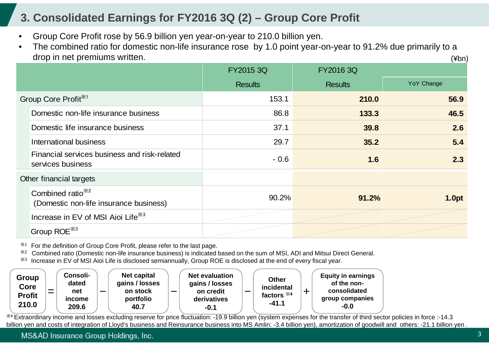### **3. Consolidated Earnings for FY2016 3Q (2) – Group Core Profit**

- •Group Core Profit rose by 56.9 billion yen year-on-year to 210.0 billion yen.
- • The combined ratio for domestic non-life insurance rose by 1.0 point year-on-year to 91.2% due primarily to a drop in net premiums written. (¥bn)

|                                                                         | FY2015 3Q      | <b>FY2016 3Q</b> |            |
|-------------------------------------------------------------------------|----------------|------------------|------------|
|                                                                         | <b>Results</b> | <b>Results</b>   | YoY Change |
| Group Core Profit <sup>*1</sup>                                         | 153.1          | 210.0            | 56.9       |
| Domestic non-life insurance business                                    | 86.8           | 133.3            | 46.5       |
| Domestic life insurance business                                        | 37.1           | 39.8             | 2.6        |
| International business                                                  | 29.7           | 35.2             | 5.4        |
| Financial services business and risk-related<br>services business       | $-0.6$         | 1.6              | 2.3        |
| Other financial targets                                                 |                |                  |            |
| Combined ratio <sup>**2</sup><br>(Domestic non-life insurance business) | 90.2%          | 91.2%            | 1.0pt      |
| Increase in EV of MSI Aioi Life <sup>33</sup>                           |                |                  |            |
| Group ROE <sup>*3</sup>                                                 |                |                  |            |

※1For the definition of Group Core Profit, please refer to the last page.

※2Combined ratio (Domestic non-life insurance business) is indicated based on the sum of MSI, ADI and Mitsui Direct General.

※3Increase in EV of MSI Aioi Life is disclosed semiannually, Group ROE is disclosed at the end of every fiscal year.

| <b>Group</b><br>Core<br><b>Profit</b><br>210.0 | _ | Consoli-<br>dated<br>net<br><i>income</i><br>209.6 | $\overline{\phantom{0}}$ | Net capital<br>gains / losses<br>on stock<br>portfolio<br>40.7 | استحدا | <b>Net evaluation</b><br>gains / losses<br>on credit<br>derivatives<br>$-0.1$ |  | <b>Other</b><br>incidental<br>factors $*4$<br>$-41.1$ | -- | <b>Equity in earnings</b><br>of the non-<br>consolidated<br>group companies<br>$-0.0$ |
|------------------------------------------------|---|----------------------------------------------------|--------------------------|----------------------------------------------------------------|--------|-------------------------------------------------------------------------------|--|-------------------------------------------------------|----|---------------------------------------------------------------------------------------|
|------------------------------------------------|---|----------------------------------------------------|--------------------------|----------------------------------------------------------------|--------|-------------------------------------------------------------------------------|--|-------------------------------------------------------|----|---------------------------------------------------------------------------------------|

\*4 Extraordinary income and losses excluding reserve for price fluctuation: -19.9 billion yen (system expenses for the transfer of third sector policies in force :-14.3 billion yen and costs of integration of Lloyd's business and Reinsurance business into MS Amlin: -3.4 billion yen), amortization of goodwill and others: -21.1 billion yen .

MS&AD Insurance Group Holdings, Inc.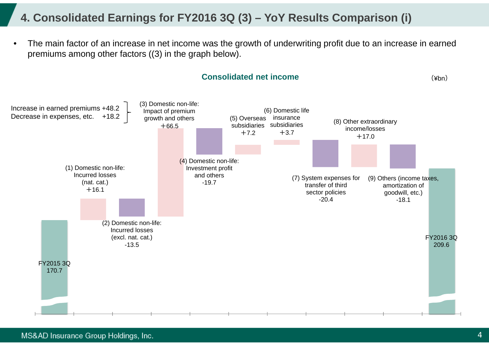### **4. Consolidated Earnings for FY2016 3Q (3) – YoY Results Comparison (i)**

• The main factor of an increase in net income was the growth of underwriting profit due to an increase in earned premiums among other factors ((3) in the graph below).



#### MS&AD Insurance Group Holdings, Inc.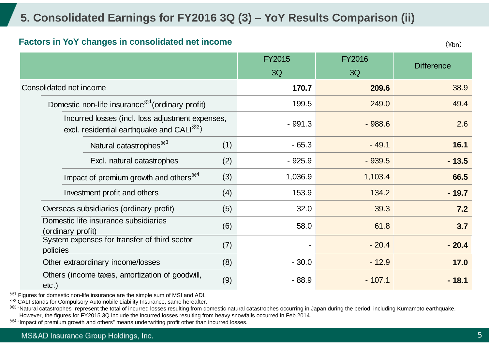### **5. Consolidated Earnings for FY2016 3Q (3) – YoY Results Comparison (ii)**

#### **Factors in YoY changes in consolidated net income**

(¥bn)

|                                                                                                           | <b>FY2015</b><br>3Q | <b>FY2016</b><br>3Q | <b>Difference</b> |
|-----------------------------------------------------------------------------------------------------------|---------------------|---------------------|-------------------|
| Consolidated net income                                                                                   | 170.7               | 209.6               | 38.9              |
| Domestic non-life insurance <sup>**</sup> (ordinary profit)                                               | 199.5               | 249.0               | 49.4              |
| Incurred losses (incl. loss adjustment expenses,<br>excl. residential earthquake and CALI <sup>*2</sup> ) | $-991.3$            | $-988.6$            | 2.6               |
| Natural catastrophes <sup>*3</sup><br>(1)                                                                 | $-65.3$             | $-49.1$             | 16.1              |
| Excl. natural catastrophes<br>(2)                                                                         | $-925.9$            | $-939.5$            | $-13.5$           |
| Impact of premium growth and others <sup>*4</sup><br>(3)                                                  | 1,036.9             | 1,103.4             | 66.5              |
| Investment profit and others<br>(4)                                                                       | 153.9               | 134.2               | $-19.7$           |
| Overseas subsidiaries (ordinary profit)<br>(5)                                                            | 32.0                | 39.3                | 7.2               |
| Domestic life insurance subsidiaries<br>(6)<br>(ordinary profit)                                          | 58.0                | 61.8                | 3.7               |
| System expenses for transfer of third sector<br>(7)<br>policies                                           |                     | $-20.4$             | $-20.4$           |
| (8)<br>Other extraordinary income/losses                                                                  | $-30.0$             | $-12.9$             | 17.0              |
| Others (income taxes, amortization of goodwill,<br>(9)<br>$etc.$ )                                        | $-88.9$             | $-107.1$            | $-18.1$           |

 $*1$  Figures for domestic non-life insurance are the simple sum of MSI and ADI.

※2 CALI stands for Compulsory Automobile Liability Insurance, same hereafter.

<sup>38</sup> "Natural catastrophes" represent the total of incurred losses resulting from domestic natural catastrophes occurring in Japan during the period, including Kumamoto earthquake. However, the figures for FY2015 3Q include the incurred losses resulting from heavy snowfalls occurred in Feb.2014.

※4 "Impact of premium growth and others" means underwriting profit other than incurred losses.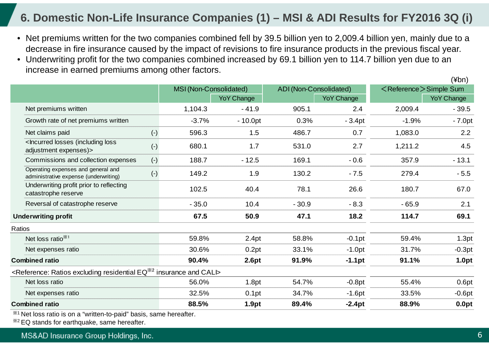### **6. Domestic Non-Life Insurance Companies (1) – MSI & ADI Results for FY2016 3Q (i)**

- Net premiums written for the two companies combined fell by 39.5 billion yen to 2,009.4 billion yen, mainly due to a decrease in fire insurance caused by the impact of revisions to fire insurance products in the previous fiscal year.
- Underwriting profit for the two companies combined increased by 69.1 billion yen to 114.7 billion yen due to an increase in earned premiums among other factors.

|        |                                                                                                                                                                                                                                                                                |       | MSI (Non-Consolidated) |                   | ADI (Non-Consolidated) |                   | <reference>Simple Sum</reference> |                   |
|--------|--------------------------------------------------------------------------------------------------------------------------------------------------------------------------------------------------------------------------------------------------------------------------------|-------|------------------------|-------------------|------------------------|-------------------|-----------------------------------|-------------------|
|        |                                                                                                                                                                                                                                                                                |       |                        | <b>YoY Change</b> |                        | <b>YoY Change</b> |                                   | <b>YoY Change</b> |
|        | Net premiums written                                                                                                                                                                                                                                                           |       | 1,104.3                | $-41.9$           | 905.1                  | 2.4               | 2,009.4                           | $-39.5$           |
|        | Growth rate of net premiums written                                                                                                                                                                                                                                            |       | $-3.7%$                | $-10.0pt$         | 0.3%                   | $-3.4pt$          | $-1.9%$                           | $-7.0pt$          |
|        | Net claims paid                                                                                                                                                                                                                                                                | $(-)$ | 596.3                  | 1.5               | 486.7                  | 0.7               | 1,083.0                           | 2.2               |
|        | <lncurred (including="" loss<br="" losses="">adjustment expenses)&gt;</lncurred>                                                                                                                                                                                               | $(-)$ | 680.1                  | 1.7               | 531.0                  | 2.7               | 1,211.2                           | 4.5               |
|        | Commissions and collection expenses                                                                                                                                                                                                                                            | $(-)$ | 188.7                  | $-12.5$           | 169.1                  | $-0.6$            | 357.9                             | $-13.1$           |
|        | Operating expenses and general and<br>administrative expense (underwriting)                                                                                                                                                                                                    | $(-)$ | 149.2                  | 1.9               | 130.2                  | $-7.5$            | 279.4                             | $-5.5$            |
|        | Underwriting profit prior to reflecting<br>catastrophe reserve                                                                                                                                                                                                                 |       | 102.5                  | 40.4              | 78.1                   | 26.6              | 180.7                             | 67.0              |
|        | Reversal of catastrophe reserve                                                                                                                                                                                                                                                |       | $-35.0$                | 10.4              | $-30.9$                | $-8.3$            | $-65.9$                           | 2.1               |
|        | <b>Underwriting profit</b>                                                                                                                                                                                                                                                     |       | 67.5                   | 50.9              | 47.1                   | 18.2              | 114.7                             | 69.1              |
| Ratios |                                                                                                                                                                                                                                                                                |       |                        |                   |                        |                   |                                   |                   |
|        | Net loss ratio <sup>**1</sup>                                                                                                                                                                                                                                                  |       | 59.8%                  | 2.4pt             | 58.8%                  | $-0.1$ pt         | 59.4%                             | 1.3pt             |
|        | Net expenses ratio                                                                                                                                                                                                                                                             |       | 30.6%                  | 0.2pt             | 33.1%                  | $-1.0pt$          | 31.7%                             | $-0.3pt$          |
|        | <b>Combined ratio</b>                                                                                                                                                                                                                                                          |       | 90.4%                  | 2.6pt             | 91.9%                  | $-1.1pt$          | 91.1%                             | 1.0pt             |
|        | <reference: <math="" excluding="" ratios="" residential="">EQ^{2/2} insurance and CALI</reference:>                                                                                                                                                                            |       |                        |                   |                        |                   |                                   |                   |
|        | Net loss ratio                                                                                                                                                                                                                                                                 |       | 56.0%                  | 1.8pt             | 54.7%                  | $-0.8pt$          | 55.4%                             | 0.6pt             |
|        | Net expenses ratio                                                                                                                                                                                                                                                             |       | 32.5%                  | 0.1pt             | 34.7%                  | $-1.6pt$          | 33.5%                             | $-0.6pt$          |
|        | <b>Combined ratio</b>                                                                                                                                                                                                                                                          |       | 88.5%                  | 1.9pt             | 89.4%                  | $-2.4pt$          | 88.9%                             | 0.0pt             |
|        | $\mathbf{M}$ and $\mathbf{M}$ are the set of $\mathbf{M}$ and $\mathbf{M}$ are the set of $\mathbf{M}$ and $\mathbf{M}$ are the set of $\mathbf{M}$<br><b>Control of the Control of the Control of the Control of the Control of the Control of the Control of the Control</b> |       |                        |                   |                        |                   |                                   |                   |

※1 Net loss ratio is on a "written-to-paid" basis, same hereafter.

※2 EQ stands for earthquake, same hereafter.

 $(\n<sub>thn</sub>)$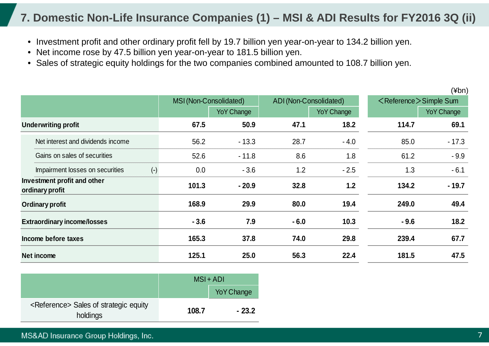### **7. Domestic Non-Life Insurance Companies (1) – MSI & ADI Results for FY2016 3Q (ii)**

- Investment profit and other ordinary profit fell by 19.7 billion yen year-on-year to 134.2 billion yen.
- Net income rose by 47.5 billion yen year-on-year to 181.5 billion yen.
- Sales of strategic equity holdings for the two companies combined amounted to 108.7 billion yen.

|                                                |                        |                   |        |                        |        | $(\n  4bn)$                       |
|------------------------------------------------|------------------------|-------------------|--------|------------------------|--------|-----------------------------------|
|                                                | MSI (Non-Consolidated) |                   |        | ADI (Non-Consolidated) |        | <reference>Simple Sum</reference> |
|                                                |                        | <b>YoY Change</b> |        | <b>YoY Change</b>      |        | <b>YoY Change</b>                 |
| <b>Underwriting profit</b>                     | 67.5                   | 50.9              | 47.1   | 18.2                   | 114.7  | 69.1                              |
| Net interest and dividends income              | 56.2                   | $-13.3$           | 28.7   | $-4.0$                 | 85.0   | $-17.3$                           |
| Gains on sales of securities                   | 52.6                   | $-11.8$           | 8.6    | 1.8                    | 61.2   | $-9.9$                            |
| $(-)$<br>Impairment losses on securities       | 0.0                    | $-3.6$            | 1.2    | $-2.5$                 | 1.3    | $-6.1$                            |
| Investment profit and other<br>ordinary profit | 101.3                  | $-20.9$           | 32.8   | 1.2                    | 134.2  | $-19.7$                           |
| Ordinary profit                                | 168.9                  | 29.9              | 80.0   | 19.4                   | 249.0  | 49.4                              |
| <b>Extraordinary income/losses</b>             | $-3.6$                 | 7.9               | $-6.0$ | 10.3                   | $-9.6$ | 18.2                              |
| Income before taxes                            | 165.3                  | 37.8              | 74.0   | 29.8                   | 239.4  | 67.7                              |
| Net income                                     | 125.1                  | 25.0              | 56.3   | 22.4                   | 181.5  | 47.5                              |

|                                                                | $MSI + ADI$ |                   |  |
|----------------------------------------------------------------|-------------|-------------------|--|
|                                                                |             | <b>YoY Change</b> |  |
| <reference> Sales of strategic equity<br/>holdings</reference> | 108.7       | $-23.2$           |  |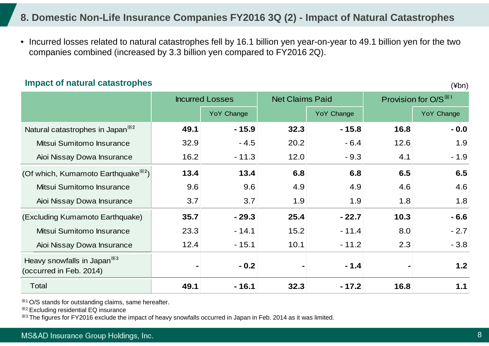### **8. Domestic Non-Life Insurance Companies FY2016 3Q (2) - Impact of Natural Catastrophes**

• Incurred losses related to natural catastrophes fell by 16.1 billion yen year-on-year to 49.1 billion yen for the two companies combined (increased by 3.3 billion yen compared to FY2016 2Q).

#### **Impact of natural catastrophes**

(¥bn)

|                                                                    |      | <b>Incurred Losses</b> | <b>Net Claims Paid</b> |                   | Provision for $O/S^{\times 1}$ |                   |
|--------------------------------------------------------------------|------|------------------------|------------------------|-------------------|--------------------------------|-------------------|
|                                                                    |      | <b>YoY Change</b>      |                        | <b>YoY Change</b> |                                | <b>YoY Change</b> |
| Natural catastrophes in Japan <sup>362</sup>                       | 49.1 | $-15.9$                | 32.3                   | $-15.8$           | 16.8                           | $-0.0$            |
| Mitsui Sumitomo Insurance                                          | 32.9 | $-4.5$                 | 20.2                   | $-6.4$            | 12.6                           | 1.9               |
| Aioi Nissay Dowa Insurance                                         | 16.2 | $-11.3$                | 12.0                   | $-9.3$            | 4.1                            | $-1.9$            |
| (Of which, Kumamoto Earthquake <sup><math>\aleph_2</math></sup> )  | 13.4 | 13.4                   | 6.8                    | 6.8               | 6.5                            | 6.5               |
| Mitsui Sumitomo Insurance                                          | 9.6  | 9.6                    | 4.9                    | 4.9               | 4.6                            | 4.6               |
| Aioi Nissay Dowa Insurance                                         | 3.7  | 3.7                    | 1.9                    | 1.9               | 1.8                            | 1.8               |
| (Excluding Kumamoto Earthquake)                                    | 35.7 | $-29.3$                | 25.4                   | $-22.7$           | 10.3                           | $-6.6$            |
| Mitsui Sumitomo Insurance                                          | 23.3 | $-14.1$                | 15.2                   | $-11.4$           | 8.0                            | $-2.7$            |
| Aioi Nissay Dowa Insurance                                         | 12.4 | $-15.1$                | 10.1                   | $-11.2$           | 2.3                            | $-3.8$            |
| Heavy snowfalls in Japan <sup>383</sup><br>(occurred in Feb. 2014) |      | $-0.2$                 |                        | $-1.4$            |                                | 1.2               |
| Total                                                              | 49.1 | $-16.1$                | 32.3                   | $-17.2$           | 16.8                           | 1.1               |

※1 O/S stands for outstanding claims, same hereafter.

※2 Excluding residential EQ insurance

※3 The figures for FY2016 exclude the impact of heavy snowfalls occurred in Japan in Feb. 2014 as it was limited.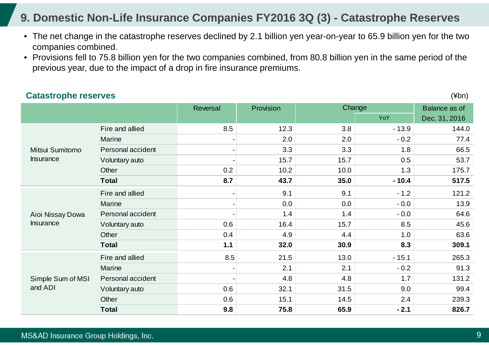### **9. Domestic Non-Life Insurance Companies FY2016 3Q (3) - Catastrophe Reserves**

- The net change in the catastrophe reserves declined by 2.1 billion yen year-on-year to 65.9 billion yen for the two companies combined.
- Provisions fell to 75.8 billion yen for the two companies combined, from 80.8 billion yen in the same period of the previous year, due to the impact of a drop in fire insurance premiums.

|                   |                   | Reversal | Provision |      | Change  | Balance as of |
|-------------------|-------------------|----------|-----------|------|---------|---------------|
|                   |                   |          |           |      | YoY     | Dec. 31, 2016 |
|                   | Fire and allied   | 8.5      | 12.3      | 3.8  | $-13.9$ | 144.0         |
|                   | Marine            |          | 2.0       | 2.0  | $-0.2$  | 77.4          |
| Mitsui Sumitomo   | Personal accident |          | 3.3       | 3.3  | 1.8     | 66.5          |
| <b>Insurance</b>  | Voluntary auto    |          | 15.7      | 15.7 | 0.5     | 53.7          |
|                   | Other             | 0.2      | 10.2      | 10.0 | 1.3     | 175.7         |
|                   | <b>Total</b>      | 8.7      | 43.7      | 35.0 | $-10.4$ | 517.5         |
|                   | Fire and allied   |          | 9.1       | 9.1  | $-1.2$  | 121.2         |
|                   | Marine            |          | 0.0       | 0.0  | $-0.0$  | 13.9          |
| Aioi Nissay Dowa  | Personal accident |          | 1.4       | 1.4  | $-0.0$  | 64.6          |
| <b>Insurance</b>  | Voluntary auto    | 0.6      | 16.4      | 15.7 | 8.5     | 45.6          |
|                   | Other             | 0.4      | 4.9       | 4.4  | 1.0     | 63.6          |
|                   | <b>Total</b>      | $1.1$    | 32.0      | 30.9 | 8.3     | 309.1         |
|                   | Fire and allied   | 8.5      | 21.5      | 13.0 | $-15.1$ | 265.3         |
|                   | Marine            |          | 2.1       | 2.1  | $-0.2$  | 91.3          |
| Simple Sum of MSI | Personal accident |          | 4.8       | 4.8  | 1.7     | 131.2         |
| and ADI           | Voluntary auto    | 0.6      | 32.1      | 31.5 | 9.0     | 99.4          |
|                   | Other             | 0.6      | 15.1      | 14.5 | 2.4     | 239.3         |
|                   | <b>Total</b>      | 9.8      | 75.8      | 65.9 | $-2.1$  | 826.7         |

#### **Catastrophe reserves**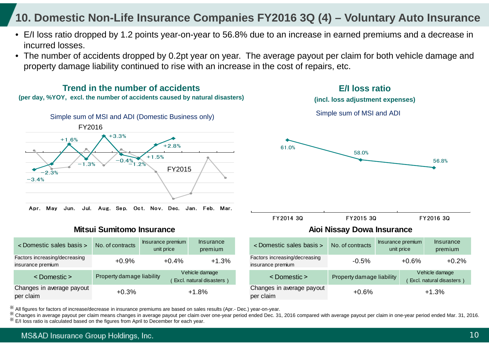### **10. Domestic Non-Life Insurance Companies FY2016 3Q (4) – Voluntary Auto Insurance**

- E/I loss ratio dropped by 1.2 points year-on-year to 56.8% due to an increase in earned premiums and a decrease in incurred losses.
- The number of accidents dropped by 0.2pt year on year. The average payout per claim for both vehicle damage and property damage liability continued to rise with an increase in the cost of repairs, etc.



※ All figures for factors of increase/decrease in insurance premiums are based on sales results (Apr.- Dec.) year-on-year. ※

 Changes in average payout per claim means changes in average payout per claim over one-year period ended Dec. 31, 2016 compared with average payout per claim in one-year period ended Mar. 31, 2016. ※E/I loss ratio is calculated based on the figures from April to December for each year.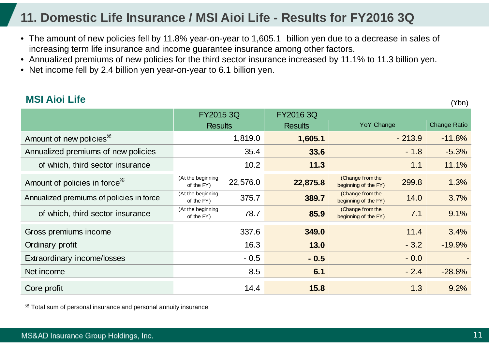## **11. Domestic Life Insurance / MSI Aioi Life - Results for FY2016 3Q**

- The amount of new policies fell by 11.8% year-on-year to 1,605.1 billion yen due to a decrease in sales of increasing term life insurance and income guarantee insurance among other factors.
- Annualized premiums of new policies for the third sector insurance increased by 11.1% to 11.3 billion yen.
- Net income fell by 2.4 billion yen year-on-year to 6.1 billion yen.

### **MSI Aioi Life**

(¥bn)

|                                           | FY2015 3Q                       |          | <b>FY2016 3Q</b> |                                                   |                     |
|-------------------------------------------|---------------------------------|----------|------------------|---------------------------------------------------|---------------------|
|                                           | <b>Results</b>                  |          | <b>Results</b>   | <b>YoY Change</b>                                 | <b>Change Ratio</b> |
| Amount of new policies <sup>*</sup>       |                                 | 1,819.0  | 1,605.1          | $-213.9$                                          | $-11.8%$            |
| Annualized premiums of new policies       |                                 | 35.4     | 33.6             | $-1.8$                                            | $-5.3%$             |
| of which, third sector insurance          |                                 | 10.2     | 11.3             | 1.1                                               | 11.1%               |
| Amount of policies in force <sup>38</sup> | (At the beginning<br>of the FY) | 22,576.0 | 22,875.8         | (Change from the<br>299.8<br>beginning of the FY) | 1.3%                |
| Annualized premiums of policies in force  | (At the beginning<br>of the FY) | 375.7    | 389.7            | (Change from the<br>14.0<br>beginning of the FY)  | 3.7%                |
| of which, third sector insurance          | (At the beginning<br>of the FY) | 78.7     | 85.9             | (Change from the<br>7.1<br>beginning of the FY)   | 9.1%                |
| Gross premiums income                     |                                 | 337.6    | 349.0            | 11.4                                              | 3.4%                |
| Ordinary profit                           |                                 | 16.3     | 13.0             | $-3.2$                                            | $-19.9%$            |
| Extraordinary income/losses               |                                 | $-0.5$   | $-0.5$           | $-0.0$                                            |                     |
| Net income                                |                                 | 8.5      | 6.1              | $-2.4$                                            | $-28.8%$            |
| Core profit                               |                                 | 14.4     | 15.8             | 1.3                                               | 9.2%                |

※ Total sum of personal insurance and personal annuity insurance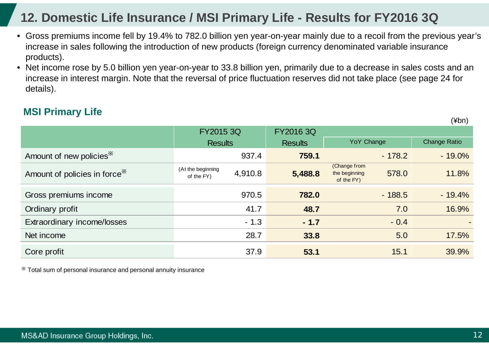## **12. Domestic Life Insurance / MSI Primary Life - Results for FY2016 3Q**

- Gross premiums income fell by 19.4% to 782.0 billion yen year-on-year mainly due to a recoil from the previous year's increase in sales following the introduction of new products (foreign currency denominated variable insurance products).
- Net income rose by 5.0 billion yen year-on-year to 33.8 billion yen, primarily due to a decrease in sales costs and an increase in interest margin. Note that the reversal of price fluctuation reserves did not take place (see page 24 for details).

### **MSI Primary Life**

|                                           | FY2015 3Q                       |         | FY2016 3Q      |                                             |          |                     |
|-------------------------------------------|---------------------------------|---------|----------------|---------------------------------------------|----------|---------------------|
|                                           | <b>Results</b>                  |         | <b>Results</b> | <b>YoY Change</b>                           |          | <b>Change Ratio</b> |
| Amount of new policies <sup>*</sup>       |                                 | 937.4   | 759.1          |                                             | $-178.2$ | $-19.0\%$           |
| Amount of policies in force <sup>**</sup> | (At the beginning<br>of the FY) | 4,910.8 | 5,488.8        | (Change from<br>the beginning<br>of the FY) | 578.0    | 11.8%               |
| Gross premiums income                     |                                 | 970.5   | 782.0          |                                             | $-188.5$ | $-19.4%$            |
| Ordinary profit                           |                                 | 41.7    | 48.7           |                                             | 7.0      | 16.9%               |
| Extraordinary income/losses               |                                 | $-1.3$  | $-1.7$         |                                             | $-0.4$   | $\sim$              |
| Net income                                |                                 | 28.7    | 33.8           |                                             | 5.0      | 17.5%               |
| Core profit                               |                                 | 37.9    | 53.1           |                                             | 15.1     | 39.9%               |

※ Total sum of personal insurance and personal annuity insurance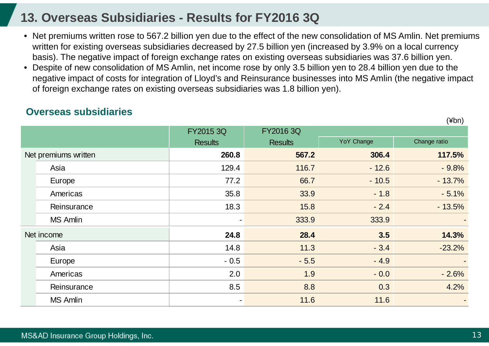### **13. Overseas Subsidiaries - Results for FY2016 3Q**

- Net premiums written rose to 567.2 billion yen due to the effect of the new consolidation of MS Amlin. Net premiums written for existing overseas subsidiaries decreased by 27.5 billion yen (increased by 3.9% on a local currency basis). The negative impact of foreign exchange rates on existing overseas subsidiaries was 37.6 billion yen.
- • Despite of new consolidation of MS Amlin, net income rose by only 3.5 billion yen to 28.4 billion yen due to the negative impact of costs for integration of Lloyd's and Reinsurance businesses into MS Amlin (the negative impact of foreign exchange rates on existing overseas subsidiaries was 1.8 billion yen).

### **Overseas subsidiaries**

|                      | FY2015 3Q      | FY2016 3Q      |            |              |
|----------------------|----------------|----------------|------------|--------------|
|                      | <b>Results</b> | <b>Results</b> | YoY Change | Change ratio |
| Net premiums written | 260.8          | 567.2          | 306.4      | 117.5%       |
| Asia                 | 129.4          | 116.7          | $-12.6$    | $-9.8%$      |
| Europe               | 77.2           | 66.7           | $-10.5$    | $-13.7%$     |
| Americas             | 35.8           | 33.9           | $-1.8$     | $-5.1%$      |
| Reinsurance          | 18.3           | 15.8           | $-2.4$     | $-13.5%$     |
| <b>MS Amlin</b>      |                | 333.9          | 333.9      |              |
| Net income           | 24.8           | 28.4           | 3.5        | 14.3%        |
| Asia                 | 14.8           | 11.3           | $-3.4$     | $-23.2%$     |
| Europe               | $-0.5$         | $-5.5$         | $-4.9$     |              |
| Americas             | 2.0            | 1.9            | $-0.0$     | $-2.6%$      |
| Reinsurance          | 8.5            | 8.8            | 0.3        | 4.2%         |
| <b>MS Amlin</b>      |                | 11.6           | 11.6       |              |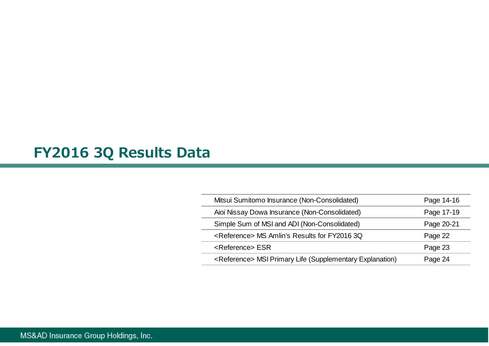# **FY2016 3Q Results Data**

| Mitsui Sumitomo Insurance (Non-Consolidated)                         | Page 14-16 |
|----------------------------------------------------------------------|------------|
| Aioi Nissay Dowa Insurance (Non-Consolidated)                        | Page 17-19 |
| Simple Sum of MSI and ADI (Non-Consolidated)                         | Page 20-21 |
| <reference> MS Amlin's Results for FY2016 3Q</reference>             | Page 22    |
| <reference> ESR</reference>                                          | Page 23    |
| <reference> MSI Primary Life (Supplementary Explanation)</reference> | Page 24    |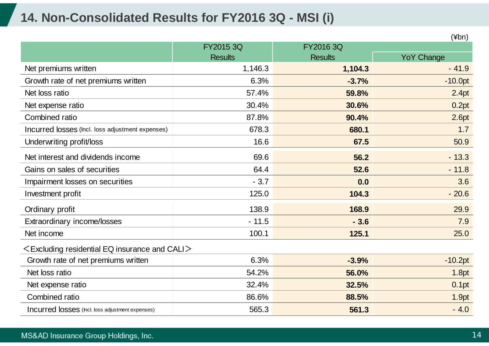## **14. Non-Consolidated Results for FY2016 3Q - MSI (i)**

|                                                        |                |                | $(\n  4bn)$       |
|--------------------------------------------------------|----------------|----------------|-------------------|
|                                                        | FY2015 3Q      | FY2016 3Q      |                   |
|                                                        | <b>Results</b> | <b>Results</b> | <b>YoY Change</b> |
| Net premiums written                                   | 1,146.3        | 1,104.3        | $-41.9$           |
| Growth rate of net premiums written                    | 6.3%           | $-3.7%$        | $-10.0pt$         |
| Net loss ratio                                         | 57.4%          | 59.8%          | 2.4pt             |
| Net expense ratio                                      | 30.4%          | 30.6%          | 0.2pt             |
| Combined ratio                                         | 87.8%          | 90.4%          | 2.6pt             |
| Incurred losses (Incl. loss adjustment expenses)       | 678.3          | 680.1          | 1.7               |
| Underwriting profit/loss                               | 16.6           | 67.5           | 50.9              |
| Net interest and dividends income                      | 69.6           | 56.2           | $-13.3$           |
| Gains on sales of securities                           | 64.4           | 52.6           | $-11.8$           |
| Impairment losses on securities                        | $-3.7$         | 0.0            | 3.6               |
| Investment profit                                      | 125.0          | 104.3          | $-20.6$           |
| Ordinary profit                                        | 138.9          | 168.9          | 29.9              |
| Extraordinary income/losses                            | $-11.5$        | $-3.6$         | 7.9               |
| Net income                                             | 100.1          | 125.1          | 25.0              |
| $\leq$ Excluding residential EQ insurance and CALI $>$ |                |                |                   |
| Growth rate of net premiums written                    | 6.3%           | $-3.9%$        | $-10.2pt$         |
| Net loss ratio                                         | 54.2%          | 56.0%          | 1.8pt             |
| Net expense ratio                                      | 32.4%          | 32.5%          | 0.1pt             |
| Combined ratio                                         | 86.6%          | 88.5%          | 1.9pt             |
| Incurred losses (Incl. loss adjustment expenses)       | 565.3          | 561.3          | $-4.0$            |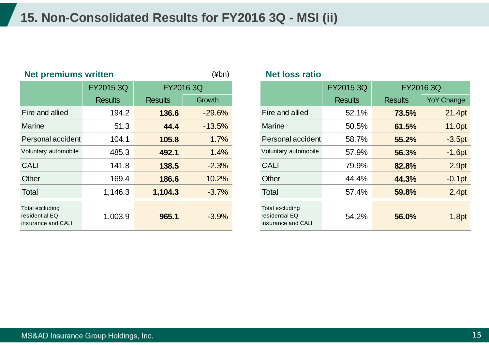## **15. Non-Consolidated Results for FY2016 3Q - MSI (ii)**

|                                                         | $(\nexists b^n)$<br><b>Net loss ratio</b><br><b>Net premiums written</b> |                |           |                                                         |                |                |                   |
|---------------------------------------------------------|--------------------------------------------------------------------------|----------------|-----------|---------------------------------------------------------|----------------|----------------|-------------------|
|                                                         | FY2015 3Q                                                                |                | FY2016 3Q |                                                         | FY2015 3Q      | FY2016 3Q      |                   |
|                                                         | <b>Results</b>                                                           | <b>Results</b> | Growth    |                                                         | <b>Results</b> | <b>Results</b> | <b>YoY Change</b> |
| Fire and allied                                         | 194.2                                                                    | 136.6          | $-29.6%$  | Fire and allied                                         | 52.1%          | 73.5%          | 21.4pt            |
| Marine                                                  | 51.3                                                                     | 44.4           | $-13.5%$  | <b>Marine</b>                                           | 50.5%          | 61.5%          | 11.0pt            |
| Personal accident                                       | 104.1                                                                    | 105.8          | 1.7%      | Personal accident                                       | 58.7%          | 55.2%          | $-3.5pt$          |
| Voluntary automobile                                    | 485.3                                                                    | 492.1          | 1.4%      | Voluntary automobile                                    | 57.9%          | 56.3%          | $-1.6pt$          |
| <b>CALI</b>                                             | 141.8                                                                    | 138.5          | $-2.3%$   | <b>CALI</b>                                             | 79.9%          | 82.8%          | 2.9pt             |
| Other                                                   | 169.4                                                                    | 186.6          | 10.2%     | Other                                                   | 44.4%          | 44.3%          | $-0.1pt$          |
| Total                                                   | 1,146.3                                                                  | 1,104.3        | $-3.7%$   | Total                                                   | 57.4%          | 59.8%          | 2.4pt             |
| Total excluding<br>residential EQ<br>insurance and CALI | 1,003.9                                                                  | 965.1          | $-3.9%$   | Total excluding<br>residential EQ<br>insurance and CALI | 54.2%          | 56.0%          | 1.8pt             |

#### **Net loss ratio**

|                                     | FY2015 3Q      | FY2016 3Q      |          |                                                         |                | FY2015 3Q<br><b>FY20163Q</b> |                   |
|-------------------------------------|----------------|----------------|----------|---------------------------------------------------------|----------------|------------------------------|-------------------|
|                                     | <b>Results</b> | <b>Results</b> | Growth   |                                                         | <b>Results</b> | <b>Results</b>               | <b>YoY Change</b> |
| nd allied                           | 194.2          | 136.6          | $-29.6%$ | Fire and allied                                         | 52.1%          | 73.5%                        | 21.4pt            |
| e                                   | 51.3           | 44.4           | $-13.5%$ | <b>Marine</b>                                           | 50.5%          | 61.5%                        | 11.0pt            |
| <sub>nal accident</sub>             | 104.1          | 105.8          | 1.7%     | Personal accident                                       | 58.7%          | 55.2%                        | $-3.5pt$          |
| ary automobile                      | 485.3          | 492.1          | 1.4%     | Voluntary automobile                                    | 57.9%          | 56.3%                        | $-1.6pt$          |
|                                     | 141.8          | 138.5          | $-2.3%$  | <b>CALI</b>                                             | 79.9%          | 82.8%                        | 2.9pt             |
|                                     | 169.4          | 186.6          | 10.2%    | Other                                                   | 44.4%          | 44.3%                        | $-0.1$ pt         |
|                                     | 1,146.3        | 1,104.3        | $-3.7%$  | Total                                                   | 57.4%          | 59.8%                        | 2.4pt             |
| cluding<br>itial EQ<br>ice and CALI | 1,003.9        | 965.1          | $-3.9%$  | Total excluding<br>residential EQ<br>insurance and CALI | 54.2%          | 56.0%                        | 1.8pt             |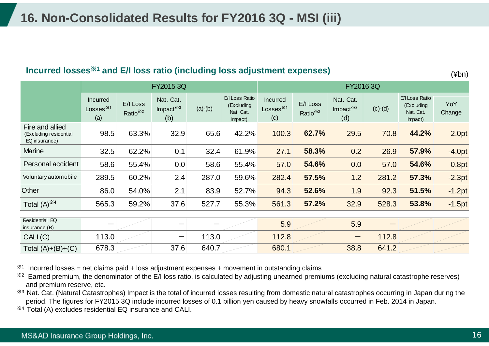#### **Incurred losses**※**<sup>1</sup> and E/I loss ratio (including loss adjustment expenses)**

(¥bn)

|                                                            |                                       | FY2015 3Q                        |                                 |           |                                                      |                                                        | FY2016 3Q                        |                                 |           |                                                      |               |
|------------------------------------------------------------|---------------------------------------|----------------------------------|---------------------------------|-----------|------------------------------------------------------|--------------------------------------------------------|----------------------------------|---------------------------------|-----------|------------------------------------------------------|---------------|
|                                                            | <b>Incurred</b><br>Losses $*1$<br>(a) | E/I Loss<br>Ratio <sup>*/2</sup> | Nat. Cat.<br>Impact $*3$<br>(b) | $(a)-(b)$ | E/I Loss Ratio<br>(Excluding<br>Nat. Cat.<br>Impact) | <b>Incurred</b><br>Losses $^{\divideontimes 1}$<br>(c) | E/I Loss<br>Ratio <sup>*/2</sup> | Nat. Cat.<br>Impact $*3$<br>(d) | $(c)-(d)$ | E/I Loss Ratio<br>(Excluding<br>Nat. Cat.<br>Impact) | YoY<br>Change |
| Fire and allied<br>(Excluding residential<br>EQ insurance) | 98.5                                  | 63.3%                            | 32.9                            | 65.6      | 42.2%                                                | 100.3                                                  | 62.7%                            | 29.5                            | 70.8      | 44.2%                                                | 2.0pt         |
| <b>Marine</b>                                              | 32.5                                  | 62.2%                            | 0.1                             | 32.4      | 61.9%                                                | 27.1                                                   | 58.3%                            | 0.2                             | 26.9      | 57.9%                                                | $-4.0pt$      |
| Personal accident                                          | 58.6                                  | 55.4%                            | 0.0                             | 58.6      | 55.4%                                                | 57.0                                                   | 54.6%                            | 0.0                             | 57.0      | 54.6%                                                | $-0.8pt$      |
| Voluntary automobile                                       | 289.5                                 | 60.2%                            | 2.4                             | 287.0     | 59.6%                                                | 282.4                                                  | 57.5%                            | 1.2                             | 281.2     | 57.3%                                                | $-2.3pt$      |
| Other                                                      | 86.0                                  | 54.0%                            | 2.1                             | 83.9      | 52.7%                                                | 94.3                                                   | 52.6%                            | 1.9                             | 92.3      | 51.5%                                                | $-1.2pt$      |
| Total $(A)$ <sup><math>*4</math></sup>                     | 565.3                                 | 59.2%                            | 37.6                            | 527.7     | 55.3%                                                | 561.3                                                  | 57.2%                            | 32.9                            | 528.3     | 53.8%                                                | $-1.5pt$      |
| Residential EQ<br>insurance (B)                            |                                       |                                  |                                 |           |                                                      | 5.9                                                    |                                  | 5.9                             |           |                                                      |               |
| CALI(C)                                                    | 113.0                                 |                                  | —                               | 113.0     |                                                      | 112.8                                                  |                                  |                                 | 112.8     |                                                      |               |
| Total $(A)+(B)+(C)$                                        | 678.3                                 |                                  | 37.6                            | 640.7     |                                                      | 680.1                                                  |                                  | 38.8                            | 641.2     |                                                      |               |

 $*1$  Incurred losses = net claims paid + loss adjustment expenses + movement in outstanding claims

<sup>32</sup> Earned premium, the denominator of the E/I loss ratio, is calculated by adjusting unearned premiums (excluding natural catastrophe reserves) and premium reserve, etc.

※3 Nat. Cat. (Natural Catastrophes) Impact is the total of incurred losses resulting from domestic natural catastrophes occurring in Japan during the period. The figures for FY2015 3Q include incurred losses of 0.1 billion yen caused by heavy snowfalls occurred in Feb. 2014 in Japan.

※4 Total (A) excludes residential EQ insurance and CALI.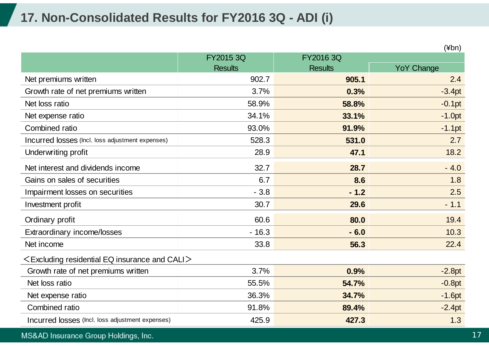## **17. Non-Consolidated Results for FY2016 3Q - ADI (i)**

|                                                        |                |                | (¥bn)             |
|--------------------------------------------------------|----------------|----------------|-------------------|
|                                                        | FY2015 3Q      | FY2016 3Q      |                   |
|                                                        | <b>Results</b> | <b>Results</b> | <b>YoY Change</b> |
| Net premiums written                                   | 902.7          | 905.1          | 2.4               |
| Growth rate of net premiums written                    | 3.7%           | 0.3%           | $-3.4pt$          |
| Net loss ratio                                         | 58.9%          | 58.8%          | $-0.1pt$          |
| Net expense ratio                                      | 34.1%          | 33.1%          | $-1.0pt$          |
| Combined ratio                                         | 93.0%          | 91.9%          | $-1.1pt$          |
| Incurred losses (Incl. loss adjustment expenses)       | 528.3          | 531.0          | 2.7               |
| Underwriting profit                                    | 28.9           | 47.1           | 18.2              |
| Net interest and dividends income                      | 32.7           | 28.7           | $-4.0$            |
| Gains on sales of securities                           | 6.7            | 8.6            | 1.8               |
| Impairment losses on securities                        | $-3.8$         | $-1.2$         | 2.5               |
| Investment profit                                      | 30.7           | 29.6           | $-1.1$            |
| Ordinary profit                                        | 60.6           | 80.0           | 19.4              |
| Extraordinary income/losses                            | $-16.3$        | $-6.0$         | 10.3              |
| Net income                                             | 33.8           | 56.3           | 22.4              |
| $\leq$ Excluding residential EQ insurance and CALI $>$ |                |                |                   |
| Growth rate of net premiums written                    | 3.7%           | 0.9%           | $-2.8pt$          |
| Net loss ratio                                         | 55.5%          | 54.7%          | $-0.8pt$          |
| Net expense ratio                                      | 36.3%          | 34.7%          | $-1.6pt$          |
| Combined ratio                                         | 91.8%          | 89.4%          | $-2.4pt$          |
| Incurred losses (Incl. loss adjustment expenses)       | 425.9          | 427.3          | 1.3               |

### MS&AD Insurance Group Holdings, Inc.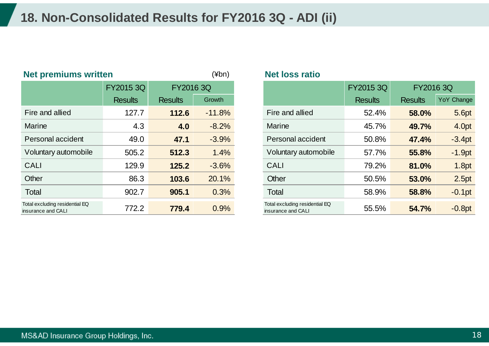## **18. Non-Consolidated Results for FY2016 3Q - ADI (ii)**

| <b>Net premiums written</b>                          |                |                | $(\n  4bn)$ | <b>Net loss ratio</b>                                |                |                |                   |  |
|------------------------------------------------------|----------------|----------------|-------------|------------------------------------------------------|----------------|----------------|-------------------|--|
|                                                      | FY2015 3Q      | FY2016 3Q      |             |                                                      | FY2015 3Q      |                | FY2016 3Q         |  |
|                                                      | <b>Results</b> | <b>Results</b> | Growth      |                                                      | <b>Results</b> | <b>Results</b> | <b>YoY Change</b> |  |
| Fire and allied                                      | 127.7          | 112.6          | $-11.8%$    | Fire and allied                                      | 52.4%          | 58.0%          | 5.6pt             |  |
| <b>Marine</b>                                        | 4.3            | 4.0            | $-8.2%$     | <b>Marine</b>                                        | 45.7%          | 49.7%          | 4.0pt             |  |
| Personal accident                                    | 49.0           | 47.1           | $-3.9%$     | Personal accident                                    | 50.8%          | 47.4%          | $-3.4pt$          |  |
| Voluntary automobile                                 | 505.2          | 512.3          | 1.4%        | Voluntary automobile                                 | 57.7%          | 55.8%          | $-1.9pt$          |  |
| <b>CALI</b>                                          | 129.9          | 125.2          | $-3.6%$     | <b>CALI</b>                                          | 79.2%          | 81.0%          | 1.8pt             |  |
| Other                                                | 86.3           | 103.6          | 20.1%       | Other                                                | 50.5%          | 53.0%          | 2.5pt             |  |
| Total                                                | 902.7          | 905.1          | 0.3%        | <b>Total</b>                                         | 58.9%          | 58.8%          | $-0.1pt$          |  |
| Total excluding residential EQ<br>insurance and CALI | 772.2          | 779.4          | 0.9%        | Total excluding residential EQ<br>insurance and CALI | 55.5%          | 54.7%          | $-0.8pt$          |  |

#### **Net loss ratio**

|                                       | FY2015 3Q      | FY2016 3Q      |          |                                                      |                |                | FY2015 3Q  | FY2016 3Q |  |
|---------------------------------------|----------------|----------------|----------|------------------------------------------------------|----------------|----------------|------------|-----------|--|
|                                       | <b>Results</b> | <b>Results</b> | Growth   |                                                      | <b>Results</b> | <b>Results</b> | YoY Change |           |  |
| and allied                            | 127.7          | 112.6          | $-11.8%$ | Fire and allied                                      | 52.4%          | 58.0%          |            |           |  |
| ne                                    | 4.3            | 4.0            | $-8.2%$  | <b>Marine</b>                                        | 45.7%          | 49.7%          |            |           |  |
| onal accident                         | 49.0           | 47.1           | $-3.9%$  | Personal accident                                    | 50.8%          | 47.4%          | $-3.4pt$   |           |  |
| ntary automobile                      | 505.2          | 512.3          | 1.4%     | Voluntary automobile                                 | 57.7%          | 55.8%          | $-1.9pt$   |           |  |
|                                       | 129.9          | 125.2          | $-3.6%$  | <b>CALI</b>                                          | 79.2%          | 81.0%          |            |           |  |
|                                       | 86.3           | 103.6          | 20.1%    | Other                                                | 50.5%          | 53.0%          |            |           |  |
|                                       | 902.7          | 905.1          | 0.3%     | <b>Total</b>                                         | 58.9%          | 58.8%          | $-0.1$ pt  |           |  |
| cluding residential EQ<br>ce and CALI | 772.2          | 779.4          | 0.9%     | Total excluding residential EQ<br>insurance and CALI | 55.5%          | 54.7%          | $-0.8pt$   |           |  |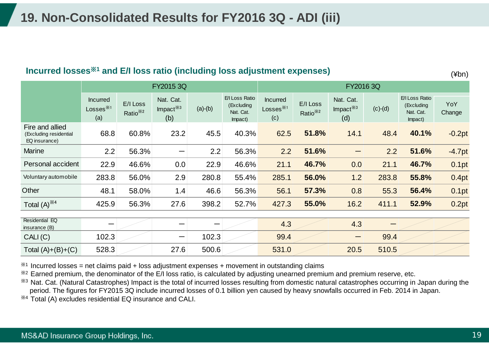#### **Incurred losses**※**<sup>1</sup> and E/I loss ratio (including loss adjustment expenses)**

(¥bn)

|                                                            | FY2015 3Q                                              |                                 |                                 |           | FY2016 3Q                                            |                                                               |                                  |                                 |           |                                                      |               |
|------------------------------------------------------------|--------------------------------------------------------|---------------------------------|---------------------------------|-----------|------------------------------------------------------|---------------------------------------------------------------|----------------------------------|---------------------------------|-----------|------------------------------------------------------|---------------|
|                                                            | <b>Incurred</b><br>Losses $^{\divideontimes 1}$<br>(a) | E/I Loss<br>Ratio <sup>※2</sup> | Nat. Cat.<br>Impact $*3$<br>(b) | $(a)-(b)$ | E/I Loss Ratio<br>(Excluding<br>Nat. Cat.<br>Impact) | <b>Incurred</b><br>$Losses$ <sup><math>*1</math></sup><br>(c) | E/I Loss<br>Ratio <sup>*/2</sup> | Nat. Cat.<br>Impact $*3$<br>(d) | $(c)-(d)$ | E/I Loss Ratio<br>(Excluding<br>Nat. Cat.<br>Impact) | YoY<br>Change |
| Fire and allied<br>(Excluding residential<br>EQ insurance) | 68.8                                                   | 60.8%                           | 23.2                            | 45.5      | 40.3%                                                | 62.5                                                          | 51.8%                            | 14.1                            | 48.4      | 40.1%                                                | $-0.2pt$      |
| <b>Marine</b>                                              | 2.2                                                    | 56.3%                           |                                 | 2.2       | 56.3%                                                | 2.2                                                           | 51.6%                            |                                 | 2.2       | 51.6%                                                | $-4.7pt$      |
| Personal accident                                          | 22.9                                                   | 46.6%                           | 0.0                             | 22.9      | 46.6%                                                | 21.1                                                          | 46.7%                            | 0.0                             | 21.1      | 46.7%                                                | 0.1pt         |
| Voluntary automobile                                       | 283.8                                                  | 56.0%                           | 2.9                             | 280.8     | 55.4%                                                | 285.1                                                         | 56.0%                            | 1.2                             | 283.8     | 55.8%                                                | 0.4pt         |
| Other                                                      | 48.1                                                   | 58.0%                           | 1.4                             | 46.6      | 56.3%                                                | 56.1                                                          | 57.3%                            | 0.8                             | 55.3      | 56.4%                                                | 0.1pt         |
| Total $(A)$ <sup><math>*4</math></sup>                     | 425.9                                                  | 56.3%                           | 27.6                            | 398.2     | 52.7%                                                | 427.3                                                         | 55.0%                            | 16.2                            | 411.1     | 52.9%                                                | 0.2pt         |
| Residential EQ                                             |                                                        |                                 |                                 |           |                                                      |                                                               |                                  |                                 |           |                                                      |               |
| insurance $(B)$                                            |                                                        |                                 |                                 | --        |                                                      | 4.3                                                           |                                  | 4.3                             |           |                                                      |               |
| CALI(C)                                                    | 102.3                                                  |                                 | —                               | 102.3     |                                                      | 99.4                                                          |                                  |                                 | 99.4      |                                                      |               |
| Total $(A)+(B)+(C)$                                        | 528.3                                                  |                                 | 27.6                            | 500.6     |                                                      | 531.0                                                         |                                  | 20.5                            | 510.5     |                                                      |               |

 $*1$  Incurred losses = net claims paid + loss adjustment expenses + movement in outstanding claims

 $*$ <sup>2</sup> Earned premium, the denominator of the E/I loss ratio, is calculated by adjusting unearned premium and premium reserve, etc.

<sup>38</sup> Nat. Cat. (Natural Catastrophes) Impact is the total of incurred losses resulting from domestic natural catastrophes occurring in Japan during the period. The figures for FY2015 3Q include incurred losses of 0.1 billion yen caused by heavy snowfalls occurred in Feb. 2014 in Japan.

※4 Total (A) excludes residential EQ insurance and CALI.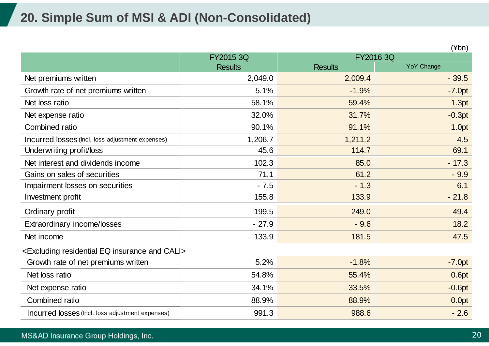## **20. Simple Sum of MSI & ADI (Non-Consolidated)**

|                                                                          |                |                | (¥bn)             |
|--------------------------------------------------------------------------|----------------|----------------|-------------------|
|                                                                          | FY2015 3Q      |                | FY2016 3Q         |
|                                                                          | <b>Results</b> | <b>Results</b> | <b>YoY Change</b> |
| Net premiums written                                                     | 2,049.0        | 2,009.4        | $-39.5$           |
| Growth rate of net premiums written                                      | 5.1%           | $-1.9%$        | $-7.0pt$          |
| Net loss ratio                                                           | 58.1%          | 59.4%          | 1.3pt             |
| Net expense ratio                                                        | 32.0%          | 31.7%          | $-0.3pt$          |
| Combined ratio                                                           | 90.1%          | 91.1%          | 1.0pt             |
| Incurred losses (Incl. loss adjustment expenses)                         | 1,206.7        | 1,211.2        | 4.5               |
| Underwriting profit/loss                                                 | 45.6           | 114.7          | 69.1              |
| Net interest and dividends income                                        | 102.3          | 85.0           | $-17.3$           |
| Gains on sales of securities                                             | 71.1           | 61.2           | $-9.9$            |
| Impairment losses on securities                                          | $-7.5$         | $-1.3$         | 6.1               |
| Investment profit                                                        | 155.8          | 133.9          | $-21.8$           |
| Ordinary profit                                                          | 199.5          | 249.0          | 49.4              |
| Extraordinary income/losses                                              | $-27.9$        | $-9.6$         | 18.2              |
| Net income                                                               | 133.9          | 181.5          | 47.5              |
| <excluding and="" cali="" eq="" insurance="" residential=""></excluding> |                |                |                   |
| Growth rate of net premiums written                                      | 5.2%           | $-1.8%$        | $-7.0pt$          |
| Net loss ratio                                                           | 54.8%          | 55.4%          | 0.6pt             |
| Net expense ratio                                                        | 34.1%          | 33.5%          | $-0.6pt$          |
| Combined ratio                                                           | 88.9%          | 88.9%          | 0.0pt             |
| Incurred losses (Incl. loss adjustment expenses)                         | 991.3          | 988.6          | $-2.6$            |

### MS&AD Insurance Group Holdings, Inc.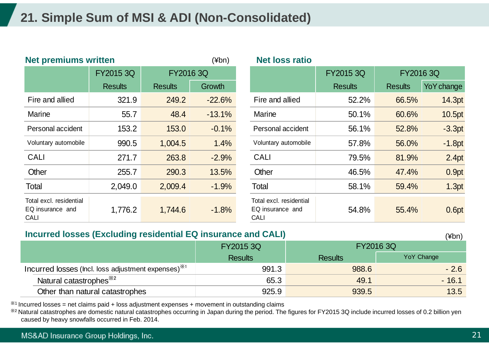## **21. Simple Sum of MSI & ADI (Non-Consolidated)**

| <b>Net premiums written</b>                                |                | $(\nexists b^n)$ | <b>Net loss ratio</b> |                                                            |                |                |             |  |
|------------------------------------------------------------|----------------|------------------|-----------------------|------------------------------------------------------------|----------------|----------------|-------------|--|
|                                                            | FY2015 3Q      | FY2016 3Q        |                       |                                                            | FY2015 3Q      |                | FY2016 3Q   |  |
|                                                            | <b>Results</b> | <b>Results</b>   | Growth                |                                                            | <b>Results</b> | <b>Results</b> | Yo Y change |  |
| Fire and allied                                            | 321.9          | 249.2            | $-22.6%$              | Fire and allied                                            | 52.2%          | 66.5%          | 14.3pt      |  |
| <b>Marine</b>                                              | 55.7           | 48.4             | $-13.1%$              | Marine                                                     | 50.1%          | 60.6%          | 10.5pt      |  |
| Personal accident                                          | 153.2          | 153.0            | $-0.1%$               | Personal accident                                          | 56.1%          | 52.8%          | $-3.3pt$    |  |
| Voluntary automobile                                       | 990.5          | 1,004.5          | 1.4%                  | Voluntary automobile                                       | 57.8%          | 56.0%          | $-1.8pt$    |  |
| <b>CALI</b>                                                | 271.7          | 263.8            | $-2.9%$               | <b>CALI</b>                                                | 79.5%          | 81.9%          | 2.4pt       |  |
| Other                                                      | 255.7          | 290.3            | 13.5%                 | Other                                                      | 46.5%          | 47.4%          | 0.9pt       |  |
| Total                                                      | 2,049.0        | 2,009.4          | $-1.9%$               | Total                                                      | 58.1%          | 59.4%          | 1.3pt       |  |
| Total excl. residential<br>EQ insurance and<br><b>CALI</b> | 1,776.2        | 1,744.6          | $-1.8%$               | Total excl. residential<br>EQ insurance and<br><b>CALI</b> | 54.8%          | 55.4%          | 0.6pt       |  |

#### **Incurred losses (Excluding residential EQ insurance and CALI)**

|                                                                 | FY2015 3Q      |                | FY2016 3Q  |
|-----------------------------------------------------------------|----------------|----------------|------------|
|                                                                 | <b>Results</b> | <b>Results</b> | YoY Change |
| Incurred losses (lncl. loss adjustment expenses) <sup>**1</sup> | 991.3          | 988.6          | $-2.6$     |
| Natural catastrophes <sup>38</sup>                              | 65.3           | 49.1           | $-16.1$    |
| Other than natural catastrophes                                 | 925.9          | 939.5          | 13.5       |

 $*1$  Incurred losses = net claims paid + loss adjustment expenses + movement in outstanding claims

※2 Natural catastrophes are domestic natural catastrophes occurring in Japan during the period. The figures for FY2015 3Q include incurred losses of 0.2 billion yen caused by heavy snowfalls occurred in Feb. 2014.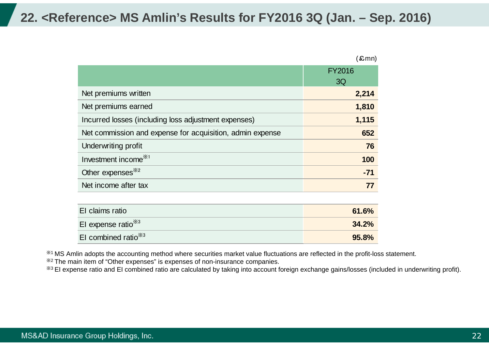### **22. <Reference> MS Amlin's Results for FY2016 3Q (Jan. – Sep. 2016)**

|                                                           | 〔£mn〕         |
|-----------------------------------------------------------|---------------|
|                                                           | <b>FY2016</b> |
|                                                           | 3Q            |
| Net premiums written                                      | 2,214         |
| Net premiums earned                                       | 1,810         |
| Incurred losses (including loss adjustment expenses)      | 1,115         |
| Net commission and expense for acquisition, admin expense | 652           |
| Underwriting profit                                       | 76            |
| Investment income <sup>**1</sup>                          | 100           |
| Other expenses <sup>382</sup>                             | $-71$         |
| Net income after tax                                      | 77            |
|                                                           |               |
| El claime ratio                                           | 61.60/        |

| El claims ratio        | 61.6% |
|------------------------|-------|
| El expense ratio $*3$  | 34.2% |
| El combined ratio $*3$ | 95.8% |

※1 MS Amlin adopts the accounting method where securities market value fluctuations are reflected in the profit-loss statement.

※2 The main item of "Other expenses" is expenses of non-insurance companies.

※3 EI expense ratio and EI combined ratio are calculated by taking into account foreign exchange gains/losses (included in underwriting profit).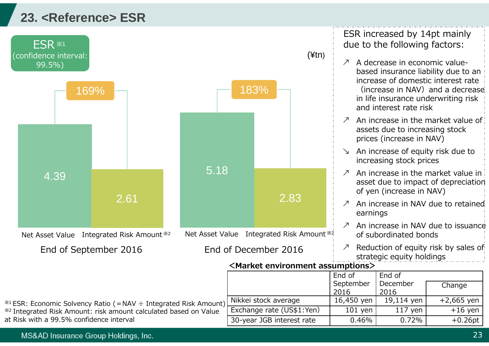## **23. <Reference> ESR**



ESR increased by 14pt mainly due to the following factors:

- $\lambda$  A decrease in economic valuebased insurance liability due to an increase of domestic interest rate(increase in NAV) and a decrease in life insurance underwriting risk and interest rate risk
- $\varnothing$  An increase in the market value of assets due to increasing stock prices (increase in NAV)
- ↘ An increase of equity risk due to increasing stock prices
- ↗An increase in the market value in asset due to impact of depreciation of yen (increase in NAV)
- $\varnothing$  An increase in NAV due to retained earnings
- ↗ An increase in NAV due to issuance of subordinated bonds
- ↗ Reduction of equity risk by sales of strategic equity holdings

 $Fnd$  of

|                                                                              |                           | - - - - -         | ----             |              |
|------------------------------------------------------------------------------|---------------------------|-------------------|------------------|--------------|
|                                                                              |                           | September<br>2016 | December<br>2016 | Change       |
| <sup>※1</sup> ESR: Economic Solvency Ratio (=NAV ÷ Integrated Risk Amount)   | Nikkei stock average      | 16,450 yen        | 19,114 yen       | $+2,665$ yen |
| <sup>362</sup> Integrated Risk Amount: risk amount calculated based on Value | Exchange rate (US\$1:Yen) | $101$ yen         | $117$ yen        | $+16$ yen    |
| at Risk with a 99.5% confidence interval                                     | 30-year JGB interest rate | 0.46%             | 0.72%            | $+0.26pt$    |
|                                                                              |                           |                   |                  |              |

MS&AD Insurance Group Holdings, Inc.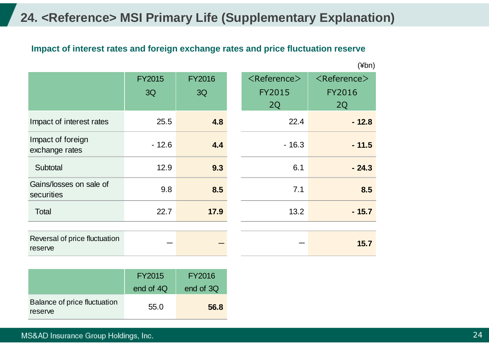## **24. <Reference> MSI Primary Life (Supplementary Explanation)**

### **Impact of interest rates and foreign exchange rates and price fluctuation reserve**

|                                          |               |               |                               | $(\n  4bn)$                   |
|------------------------------------------|---------------|---------------|-------------------------------|-------------------------------|
|                                          | <b>FY2015</b> | <b>FY2016</b> | $\langle$ Reference $\rangle$ | $\langle$ Reference $\rangle$ |
|                                          | 3Q            | 3Q            | <b>FY2015</b>                 | <b>FY2016</b>                 |
|                                          |               |               | 2Q                            | 2Q                            |
| Impact of interest rates                 | 25.5          | 4.8           | 22.4                          | $-12.8$                       |
| Impact of foreign<br>exchange rates      | $-12.6$       | 4.4           | $-16.3$                       | $-11.5$                       |
| Subtotal                                 | 12.9          | 9.3           | 6.1                           | $-24.3$                       |
| Gains/losses on sale of<br>securities    | 9.8           | 8.5           | 7.1                           | 8.5                           |
| Total                                    | 22.7          | 17.9          | 13.2                          | $-15.7$                       |
|                                          |               |               |                               |                               |
| Reversal of price fluctuation<br>reserve |               |               |                               | 15.7                          |

|                                         | FY2015    | FY2016    |
|-----------------------------------------|-----------|-----------|
|                                         | end of 4Q | end of 3Q |
| Balance of price fluctuation<br>reserve | 55.0      | 56.8      |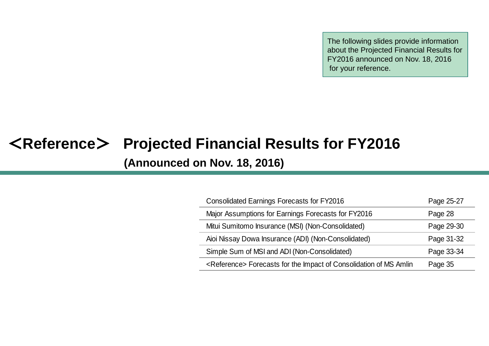The following slides provide information about the Projected Financial Results for FY2016 announced on Nov. 18, 2016 for your reference.

# <**Reference** > **Projected Financial Results for FY2016 (Announced on Nov. 18, 2016)**

| <b>Consolidated Earnings Forecasts for FY2016</b>                             | Page 25-27 |
|-------------------------------------------------------------------------------|------------|
| Major Assumptions for Earnings Forecasts for FY2016                           | Page 28    |
| Mitui Sumitomo Insurance (MSI) (Non-Consolidated)                             | Page 29-30 |
| Aioi Nissay Dowa Insurance (ADI) (Non-Consolidated)                           | Page 31-32 |
| Simple Sum of MSI and ADI (Non-Consolidated)                                  | Page 33-34 |
| <reference> Forecasts for the Impact of Consolidation of MS Amlin</reference> | Page 35    |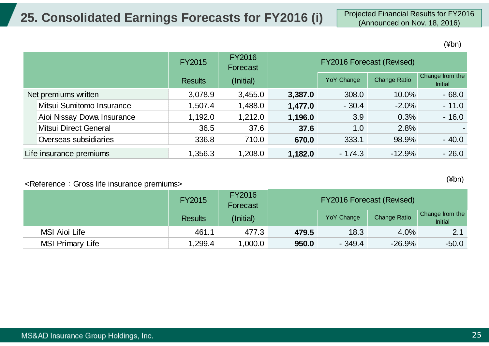(¥bn)

|                      |                              | <b>FY2015</b>  | <b>FY2016</b><br>Forecast | <b>FY2016 Forecast (Revised)</b> |                   |                     |                                   |
|----------------------|------------------------------|----------------|---------------------------|----------------------------------|-------------------|---------------------|-----------------------------------|
|                      |                              | <b>Results</b> | (Initial)                 |                                  | <b>YoY Change</b> | <b>Change Ratio</b> | Change from the<br><b>Initial</b> |
| Net premiums written |                              | 3,078.9        | 3,455.0                   | 3,387.0                          | 308.0             | 10.0%               | $-68.0$                           |
|                      | Mitsui Sumitomo Insurance    | 1,507.4        | 1,488.0                   | 1,477.0                          | $-30.4$           | $-2.0\%$            | $-11.0$                           |
|                      | Aioi Nissay Dowa Insurance   | 1,192.0        | 1,212.0                   | 1,196.0                          | 3.9               | 0.3%                | $-16.0$                           |
|                      | <b>Mitsui Direct General</b> | 36.5           | 37.6                      | 37.6                             | 1.0               | 2.8%                | $\sim$                            |
|                      | Overseas subsidiaries        | 336.8          | 710.0                     | 670.0                            | 333.1             | 98.9%               | $-40.0$                           |
|                      | Life insurance premiums      | 1,356.3        | 1,208.0                   | 1,182.0                          | $-174.3$          | $-12.9%$            | $-26.0$                           |

#### <Reference:Gross life insurance premiums>

FY20155 FY2016<br>Forecast Results (Initial) (Initial) YoY Change Change Ratio Change from the *Initial*  MSI Aioi Life 461.1 477.3 **479.5** 18.3 4.0% 2.1 MSI Primary Life 1,299.4 1,000.0 **950.0** - 349.4 -26.9% -50.0 FY2016 Forecast (Revised)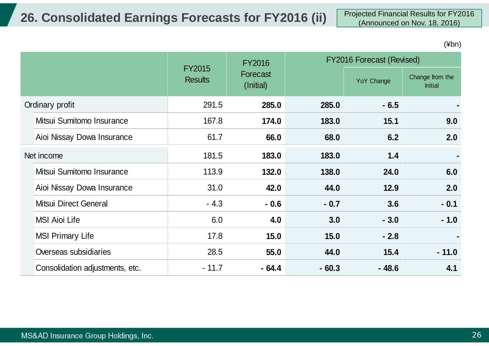# **26. Consolidated Earnings Forecasts for FY2016 (ii)** Projected Financial Results for FY2016

|            |                                 |                                 | <b>FY2016</b>         |         | <b>FY2016 Forecast (Revised)</b> |                                   |  |
|------------|---------------------------------|---------------------------------|-----------------------|---------|----------------------------------|-----------------------------------|--|
|            |                                 | <b>FY2015</b><br><b>Results</b> | Forecast<br>(Initial) |         | YoY Change                       | Change from the<br><b>Initial</b> |  |
|            | Ordinary profit                 | 291.5                           | 285.0                 | 285.0   | $-6.5$                           |                                   |  |
|            | Mitsui Sumitomo Insurance       | 167.8                           | 174.0                 | 183.0   | 15.1                             | 9.0                               |  |
|            | Aioi Nissay Dowa Insurance      | 61.7                            | 66.0                  | 68.0    | 6.2                              | 2.0                               |  |
| Net income |                                 | 181.5                           | 183.0                 | 183.0   | 1.4                              |                                   |  |
|            | Mitsui Sumitomo Insurance       | 113.9                           | 132.0                 | 138.0   | 24.0                             | 6.0                               |  |
|            | Aioi Nissay Dowa Insurance      | 31.0                            | 42.0                  | 44.0    | 12.9                             | 2.0                               |  |
|            | Mitsui Direct General           | $-4.3$                          | $-0.6$                | $-0.7$  | 3.6                              | $-0.1$                            |  |
|            | <b>MSI Aioi Life</b>            | 6.0                             | 4.0                   | 3.0     | $-3.0$                           | $-1.0$                            |  |
|            | <b>MSI Primary Life</b>         | 17.8                            | 15.0                  | 15.0    | $-2.8$                           |                                   |  |
|            | Overseas subsidiaries           | 28.5                            | 55.0                  | 44.0    | 15.4                             | $-11.0$                           |  |
|            | Consolidation adjustments, etc. | $-11.7$                         | $-64.4$               | $-60.3$ | $-48.6$                          | 4.1                               |  |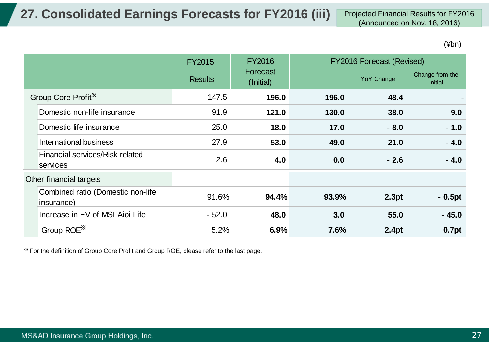(¥bn)

|                                                 | FY2016<br><b>FY2016 Forecast (Revised)</b><br><b>FY2015</b> |                       |       |            |                                   |
|-------------------------------------------------|-------------------------------------------------------------|-----------------------|-------|------------|-----------------------------------|
|                                                 | <b>Results</b>                                              | Forecast<br>(Initial) |       | YoY Change | Change from the<br><b>Initial</b> |
| Group Core Profit*                              | 147.5                                                       | 196.0                 | 196.0 | 48.4       |                                   |
| Domestic non-life insurance                     | 91.9                                                        | 121.0                 | 130.0 | 38.0       | 9.0                               |
| Domestic life insurance                         | 25.0                                                        | 18.0                  | 17.0  | $-8.0$     | $-1.0$                            |
| International business                          | 27.9                                                        | 53.0                  | 49.0  | 21.0       | $-4.0$                            |
| Financial services/Risk related<br>services     | 2.6                                                         | 4.0                   | 0.0   | $-2.6$     | $-4.0$                            |
| Other financial targets                         |                                                             |                       |       |            |                                   |
| Combined ratio (Domestic non-life<br>insurance) | 91.6%                                                       | 94.4%                 | 93.9% | 2.3pt      | $-0.5pt$                          |
| Increase in EV of MSI Aioi Life                 | $-52.0$                                                     | 48.0                  | 3.0   | 55.0       | $-45.0$                           |
| Group ROE <sup>**</sup>                         | 5.2%                                                        | 6.9%                  | 7.6%  | 2.4pt      | 0.7pt                             |

※ For the definition of Group Core Profit and Group ROE, please refer to the last page.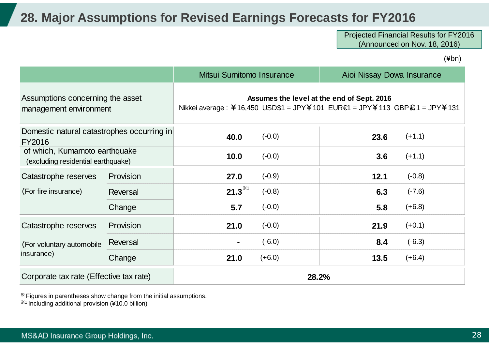### **28. Major Assumptions for Revised Earnings Forecasts for FY2016**

Projected Financial Results for FY2016 (Announced on Nov. 18, 2016)

(¥bn)

|                                                                     |           | Mitsui Sumitomo Insurance                                                                                                |          | Aioi Nissay Dowa Insurance |          |  |
|---------------------------------------------------------------------|-----------|--------------------------------------------------------------------------------------------------------------------------|----------|----------------------------|----------|--|
| Assumptions concerning the asset<br>management environment          |           | Assumes the level at the end of Sept. 2016<br>Nikkei average : ¥16,450 USD\$1 = JPY¥101 EUR€1 = JPY¥113 GBP\$1 = JPY¥131 |          |                            |          |  |
| Domestic natural catastrophes occurring in<br><b>FY2016</b>         |           | 40.0                                                                                                                     | $(-0.0)$ | 23.6                       | $(+1.1)$ |  |
| of which, Kumamoto earthquake<br>(excluding residential earthquake) |           | 10.0                                                                                                                     | $(-0.0)$ | 3.6                        | $(+1.1)$ |  |
| Catastrophe reserves                                                | Provision | 27.0                                                                                                                     | $(-0.9)$ | 12.1                       | $(-0.8)$ |  |
| (For fire insurance)                                                | Reversal  | $21.3^{*1}$                                                                                                              | $(-0.8)$ | 6.3                        | $(-7.6)$ |  |
|                                                                     | Change    | 5.7                                                                                                                      | $(-0.0)$ | 5.8                        | $(+6.8)$ |  |
| Catastrophe reserves                                                | Provision | 21.0                                                                                                                     | $(-0.0)$ | 21.9                       | $(+0.1)$ |  |
| (For voluntary automobile                                           | Reversal  |                                                                                                                          | $(-6.0)$ | 8.4                        | $(-6.3)$ |  |
| insurance)                                                          | Change    | 21.0                                                                                                                     | $(+6.0)$ | 13.5                       | $(+6.4)$ |  |
| Corporate tax rate (Effective tax rate)                             |           |                                                                                                                          | 28.2%    |                            |          |  |

※ Figures in parentheses show change from the initial assumptions.

※1 Including additional provision (¥10.0 billion)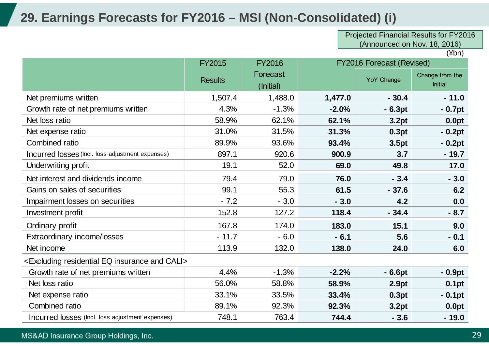## **29. Earnings Forecasts for FY2016 – MSI (Non-Consolidated) (i)**

Projected Financial Results for FY2016 (Announced on Nov. 18, 2016)

|                                                                          | <b>FY2015</b>  | <b>FY2016</b> |         | <b>FY2016 Forecast (Revised)</b> |                 |
|--------------------------------------------------------------------------|----------------|---------------|---------|----------------------------------|-----------------|
|                                                                          |                | Forecast      |         | YoY Change                       | Change from the |
|                                                                          | <b>Results</b> | (Initial)     |         |                                  | <b>Initial</b>  |
| Net premiums written                                                     | 1,507.4        | 1,488.0       | 1,477.0 | $-30.4$                          | $-11.0$         |
| Growth rate of net premiums written                                      | 4.3%           | $-1.3%$       | $-2.0%$ | $-6.3pt$                         | $-0.7pt$        |
| Net loss ratio                                                           | 58.9%          | 62.1%         | 62.1%   | 3.2pt                            | 0.0pt           |
| Net expense ratio                                                        | 31.0%          | 31.5%         | 31.3%   | 0.3pt                            | $-0.2pt$        |
| <b>Combined ratio</b>                                                    | 89.9%          | 93.6%         | 93.4%   | 3.5pt                            | $-0.2pt$        |
| Incurred losses (Incl. loss adjustment expenses)                         | 897.1          | 920.6         | 900.9   | 3.7                              | $-19.7$         |
| Underwriting profit                                                      | 19.1           | 52.0          | 69.0    | 49.8                             | 17.0            |
| Net interest and dividends income                                        | 79.4           | 79.0          | 76.0    | $-3.4$                           | $-3.0$          |
| Gains on sales of securities                                             | 99.1           | 55.3          | 61.5    | $-37.6$                          | 6.2             |
| Impairment losses on securities                                          | $-7.2$         | $-3.0$        | $-3.0$  | 4.2                              | 0.0             |
| Investment profit                                                        | 152.8          | 127.2         | 118.4   | $-34.4$                          | $-8.7$          |
| Ordinary profit                                                          | 167.8          | 174.0         | 183.0   | 15.1                             | 9.0             |
| Extraordinary income/losses                                              | $-11.7$        | $-6.0$        | $-6.1$  | 5.6                              | $-0.1$          |
| Net income                                                               | 113.9          | 132.0         | 138.0   | 24.0                             | 6.0             |
| <excluding and="" cali="" eq="" insurance="" residential=""></excluding> |                |               |         |                                  |                 |
| Growth rate of net premiums written                                      | 4.4%           | $-1.3%$       | $-2.2%$ | $-6.6pt$                         | $-0.9pt$        |
| Net loss ratio                                                           | 56.0%          | 58.8%         | 58.9%   | 2.9pt                            | 0.1pt           |
| Net expense ratio                                                        | 33.1%          | 33.5%         | 33.4%   | 0.3pt                            | $-0.1pt$        |
| Combined ratio                                                           | 89.1%          | 92.3%         | 92.3%   | 3.2pt                            | 0.0pt           |
| Incurred losses (Incl. loss adjustment expenses)                         | 748.1          | 763.4         | 744.4   | $-3.6$                           | $-19.0$         |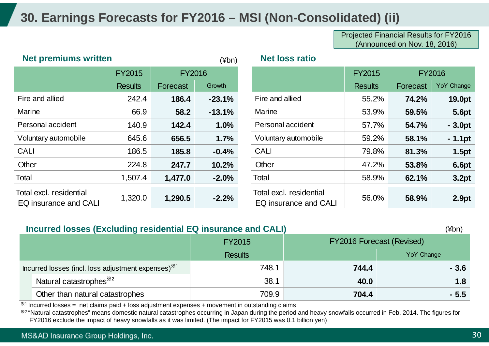## **30. Earnings Forecasts for FY2016 – MSI (Non-Consolidated) (ii)**

Projected Financial Results for FY2016 (Announced on Nov. 18, 2016)

| <b>Net premiums written</b>                             |                | $(\nexists b^n)$ | <b>Net loss ratio</b> |                                                  |                |          |               |
|---------------------------------------------------------|----------------|------------------|-----------------------|--------------------------------------------------|----------------|----------|---------------|
|                                                         | <b>FY2015</b>  | <b>FY2016</b>    |                       |                                                  | <b>FY2015</b>  |          | <b>FY2016</b> |
|                                                         | <b>Results</b> | Forecast         | Growth                |                                                  | <b>Results</b> | Forecast | YoY Change    |
| Fire and allied                                         | 242.4          | 186.4            | $-23.1%$              | Fire and allied                                  | 55.2%          | 74.2%    | 19.0pt        |
| Marine                                                  | 66.9           | 58.2             | $-13.1%$              | <b>Marine</b>                                    | 53.9%          | 59.5%    | <b>5.6pt</b>  |
| Personal accident                                       | 140.9          | 142.4            | 1.0%                  | Personal accident                                | 57.7%          | 54.7%    | $-3.0pt$      |
| Voluntary automobile                                    | 645.6          | 656.5            | 1.7%                  | Voluntary automobile                             | 59.2%          | 58.1%    | $-1.1$ pt     |
| CALI                                                    | 186.5          | 185.8            | $-0.4%$               | <b>CALI</b>                                      | 79.8%          | 81.3%    | 1.5pt         |
| Other                                                   | 224.8          | 247.7            | 10.2%                 | Other                                            | 47.2%          | 53.8%    | <b>6.6pt</b>  |
| Total                                                   | 1,507.4        | 1,477.0          | $-2.0%$               | Total                                            | 58.9%          | 62.1%    | 3.2pt         |
| Total excl. residential<br><b>EQ insurance and CALI</b> | 1,320.0        | 1,290.5          | $-2.2%$               | Total excl. residential<br>EQ insurance and CALI | 56.0%          | 58.9%    | 2.9pt         |

|                                        | <b>FY2015</b>  | <b>FY2016</b> |          |                                                  | <b>FY2015</b>  |          | <b>FY2016</b> |
|----------------------------------------|----------------|---------------|----------|--------------------------------------------------|----------------|----------|---------------|
|                                        | <b>Results</b> | Forecast      | Growth   |                                                  | <b>Results</b> | Forecast | YoY Change    |
| <b>nd allied</b>                       | 242.4          | 186.4         | $-23.1%$ | Fire and allied                                  | 55.2%          | 74.2%    | 19.0pt        |
| е                                      | 66.9           | 58.2          | $-13.1%$ | <b>Marine</b>                                    | 53.9%          | 59.5%    | <b>5.6pt</b>  |
| onal accident                          | 140.9          | 142.4         | 1.0%     | Personal accident                                | 57.7%          | 54.7%    | $-3.0pt$      |
| tary automobile                        | 645.6          | 656.5         | 1.7%     | Voluntary automobile                             | 59.2%          | 58.1%    | $-1.1$ pt     |
|                                        | 186.5          | 185.8         | $-0.4%$  | <b>CALI</b>                                      | 79.8%          | 81.3%    | 1.5pt         |
|                                        | 224.8          | 247.7         | 10.2%    | Other                                            | 47.2%          | 53.8%    | <b>6.6pt</b>  |
|                                        | 1,507.4        | 1,477.0       | $-2.0%$  | Total                                            | 58.9%          | 62.1%    | 3.2pt         |
| excl. residential<br>nsurance and CALI | 1,320.0        | 1,290.5       | $-2.2%$  | Total excl. residential<br>EQ insurance and CALI | 56.0%          | 58.9%    | 2.9pt         |

|                                                                 | Incurred losses (Excluding residential EQ insurance and CALI)<br>(¥bn) |                |       |                                  |  |  |  |
|-----------------------------------------------------------------|------------------------------------------------------------------------|----------------|-------|----------------------------------|--|--|--|
|                                                                 |                                                                        | <b>FY2015</b>  |       | <b>FY2016 Forecast (Revised)</b> |  |  |  |
|                                                                 |                                                                        | <b>Results</b> |       | <b>YoY Change</b>                |  |  |  |
| Incurred losses (incl. loss adjustment expenses) <sup>**1</sup> |                                                                        | 748.1          | 744.4 | $-3.6$                           |  |  |  |
|                                                                 | Natural catastrophes <sup>382</sup>                                    | 38.1           | 40.0  | 1.8                              |  |  |  |
|                                                                 | Other than natural catastrophes                                        | 709.9          | 704.4 | $-5.5$                           |  |  |  |

 $*$ <sup>1</sup> Incurred losses = net claims paid + loss adjustment expenses + movement in outstanding claims

※2 "Natural catastrophes" means domestic natural catastrophes occurring in Japan during the period and heavy snowfalls occurred in Feb. 2014. The figures for FY2016 exclude the impact of heavy snowfalls as it was limited. (The impact for FY2015 was 0.1 billion yen)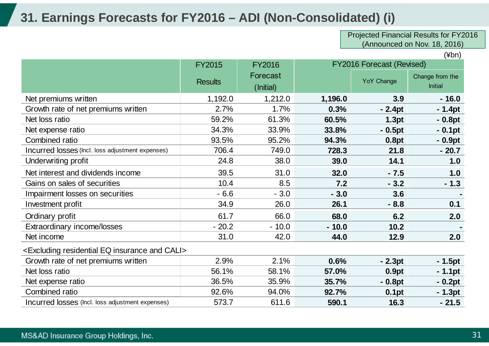## **31. Earnings Forecasts for FY2016 – ADI (Non-Consolidated) (i)**

Projected Financial Results for FY2016 (Announced on Nov. 18, 2016)

|                                                                          | <b>FY2015</b>  | <b>FY2016</b> | <b>FY2016 Forecast (Revised)</b> |                   |                 |
|--------------------------------------------------------------------------|----------------|---------------|----------------------------------|-------------------|-----------------|
|                                                                          |                | Forecast      |                                  | YoY Change        | Change from the |
|                                                                          | <b>Results</b> | (Initial)     |                                  |                   | <b>Initial</b>  |
| Net premiums written                                                     | 1,192.0        | 1,212.0       | 1,196.0                          | 3.9               | $-16.0$         |
| Growth rate of net premiums written                                      | 2.7%           | 1.7%          | 0.3%                             | $-2.4pt$          | $-1.4pt$        |
| Net loss ratio                                                           | 59.2%          | 61.3%         | 60.5%                            | 1.3pt             | $-0.8pt$        |
| Net expense ratio                                                        | 34.3%          | 33.9%         | 33.8%                            | $-0.5pt$          | $-0.1pt$        |
| <b>Combined ratio</b>                                                    | 93.5%          | 95.2%         | 94.3%                            | 0.8pt             | $-0.9pt$        |
| Incurred losses (Incl. loss adjustment expenses)                         | 706.4          | 749.0         | 728.3                            | 21.8              | $-20.7$         |
| Underwriting profit                                                      | 24.8           | 38.0          | 39.0                             | 14.1              | 1.0             |
| Net interest and dividends income                                        | 39.5           | 31.0          | 32.0                             | $-7.5$            | 1.0             |
| Gains on sales of securities                                             | 10.4           | 8.5           | 7.2                              | $-3.2$            | $-1.3$          |
| Impairment losses on securities                                          | $-6.6$         | $-3.0$        | $-3.0$                           | 3.6               |                 |
| Investment profit                                                        | 34.9           | 26.0          | 26.1                             | $-8.8$            | 0.1             |
| Ordinary profit                                                          | 61.7           | 66.0          | 68.0                             | 6.2               | 2.0             |
| Extraordinary income/losses                                              | $-20.2$        | $-10.0$       | $-10.0$                          | 10.2              |                 |
| Net income                                                               | 31.0           | 42.0          | 44.0                             | 12.9              | 2.0             |
| <excluding and="" cali="" eq="" insurance="" residential=""></excluding> |                |               |                                  |                   |                 |
| Growth rate of net premiums written                                      | 2.9%           | 2.1%          | 0.6%                             | $-2.3pt$          | $-1.5pt$        |
| Net loss ratio                                                           | 56.1%          | 58.1%         | 57.0%                            | 0.9pt             | $-1.1$ pt       |
| Net expense ratio                                                        | 36.5%          | 35.9%         | 35.7%                            | $-0.8pt$          | $-0.2pt$        |
| <b>Combined ratio</b>                                                    | 92.6%          | 94.0%         | 92.7%                            | 0.1 <sub>pt</sub> | $-1.3pt$        |
| Incurred losses (Incl. loss adjustment expenses)                         | 573.7          | 611.6         | 590.1                            | 16.3              | $-21.5$         |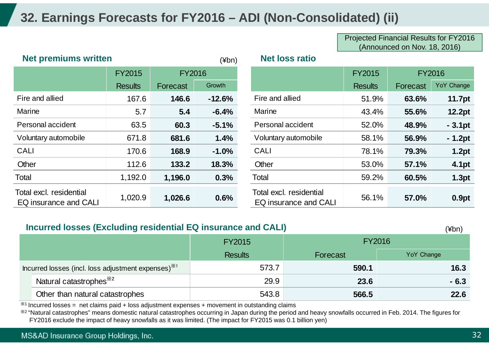## **32. Earnings Forecasts for FY2016 – ADI (Non-Consolidated) (ii)**

Projected Financial Results for FY2016 (Announced on Nov. 18, 2016)

| <b>Net premiums written</b>                      |                |               | $(\nexists b^n)$ | <b>Net loss ratio</b>                            |                |          |               |
|--------------------------------------------------|----------------|---------------|------------------|--------------------------------------------------|----------------|----------|---------------|
|                                                  | <b>FY2015</b>  | <b>FY2016</b> |                  |                                                  | <b>FY2015</b>  |          | <b>FY2016</b> |
|                                                  | <b>Results</b> | Forecast      | Growth           |                                                  | <b>Results</b> | Forecast | YoY Change    |
| Fire and allied                                  | 167.6          | 146.6         | $-12.6%$         | Fire and allied                                  | 51.9%          | 63.6%    | <b>11.7pt</b> |
| Marine                                           | 5.7            | 5.4           | $-6.4%$          | Marine                                           | 43.4%          | 55.6%    | <b>12.2pt</b> |
| Personal accident                                | 63.5           | 60.3          | $-5.1%$          | Personal accident                                | 52.0%          | 48.9%    | $-3.1pt$      |
| Voluntary automobile                             | 671.8          | 681.6         | 1.4%             | Voluntary automobile                             | 58.1%          | 56.9%    | $-1.2pt$      |
| <b>CALI</b>                                      | 170.6          | 168.9         | $-1.0%$          | <b>CALI</b>                                      | 78.1%          | 79.3%    | 1.2pt         |
| Other                                            | 112.6          | 133.2         | 18.3%            | Other                                            | 53.0%          | 57.1%    | 4.1pt         |
| Total                                            | 1,192.0        | 1,196.0       | 0.3%             | Total                                            | 59.2%          | 60.5%    | 1.3pt         |
| Total excl. residential<br>EQ insurance and CALI | 1,020.9        | 1,026.6       | 0.6%             | Total excl. residential<br>EQ insurance and CALI | 56.1%          | 57.0%    | 0.9pt         |

#### **Incurred losses (Excluding residential EQ insurance and CALI)**

 $(Y<sub>hn</sub>)$ 

|                                                                 | $\frac{1}{2}$ and $\frac{1}{2}$ and $\frac{1}{2}$ and $\frac{1}{2}$ are constructed by the state of the $\frac{1}{2}$ | ו ו ש+ו                    |               |                   |  |
|-----------------------------------------------------------------|-----------------------------------------------------------------------------------------------------------------------|----------------------------|---------------|-------------------|--|
|                                                                 |                                                                                                                       | <b>FY2015</b>              | <b>FY2016</b> |                   |  |
|                                                                 |                                                                                                                       | <b>Results</b><br>Forecast |               | <b>YoY Change</b> |  |
| Incurred losses (incl. loss adjustment expenses) <sup>**1</sup> |                                                                                                                       | 573.7                      | 590.1         | 16.3              |  |
|                                                                 | Natural catastrophes <sup>382</sup>                                                                                   | 29.9                       | 23.6          | $-6.3$            |  |
|                                                                 | Other than natural catastrophes                                                                                       | 543.8                      | 566.5         | 22.6              |  |

 $*1$  Incurred losses = net claims paid + loss adjustment expenses + movement in outstanding claims

※2 "Natural catastrophes" means domestic natural catastrophes occurring in Japan during the period and heavy snowfalls occurred in Feb. 2014. The figures for FY2016 exclude the impact of heavy snowfalls as it was limited. (The impact for FY2015 was 0.1 billion yen)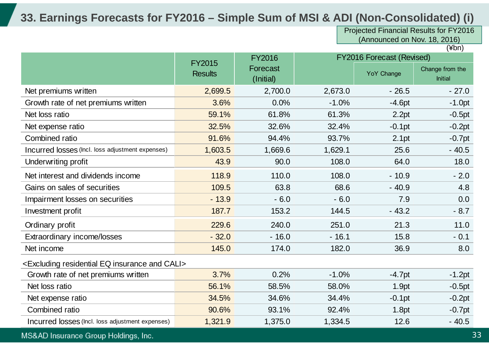### **33. Earnings Forecasts for FY2016 – Simple Sum of MSI & ADI (Non-Consolidated) (i)**

Projected Financial Results for FY2016 (Announced on Nov. 18, 2016)

 $\overline{(\n 4bn)}$ 

|                                                                          | <b>FY2015</b>  | <b>FY2016</b>         |         | <b>FY2016 Forecast (Revised)</b> |                            |
|--------------------------------------------------------------------------|----------------|-----------------------|---------|----------------------------------|----------------------------|
|                                                                          | <b>Results</b> | Forecast<br>(Initial) |         | <b>YoY Change</b>                | Change from the<br>Initial |
| Net premiums written                                                     | 2,699.5        | 2,700.0               | 2,673.0 | $-26.5$                          | $-27.0$                    |
| Growth rate of net premiums written                                      | 3.6%           | 0.0%                  | $-1.0%$ | $-4.6pt$                         | $-1.0pt$                   |
| Net loss ratio                                                           | 59.1%          | 61.8%                 | 61.3%   | 2.2pt                            | $-0.5pt$                   |
| Net expense ratio                                                        | 32.5%          | 32.6%                 | 32.4%   | $-0.1$ pt                        | $-0.2pt$                   |
| Combined ratio                                                           | 91.6%          | 94.4%                 | 93.7%   | 2.1pt                            | $-0.7pt$                   |
| Incurred losses (Incl. loss adjustment expenses)                         | 1,603.5        | 1,669.6               | 1,629.1 | 25.6                             | $-40.5$                    |
| Underwriting profit                                                      | 43.9           | 90.0                  | 108.0   | 64.0                             | 18.0                       |
| Net interest and dividends income                                        | 118.9          | 110.0                 | 108.0   | $-10.9$                          | $-2.0$                     |
| Gains on sales of securities                                             | 109.5          | 63.8                  | 68.6    | $-40.9$                          | 4.8                        |
| Impairment losses on securities                                          | $-13.9$        | $-6.0$                | $-6.0$  | 7.9                              | 0.0                        |
| Investment profit                                                        | 187.7          | 153.2                 | 144.5   | $-43.2$                          | $-8.7$                     |
| Ordinary profit                                                          | 229.6          | 240.0                 | 251.0   | 21.3                             | 11.0                       |
| Extraordinary income/losses                                              | $-32.0$        | $-16.0$               | $-16.1$ | 15.8                             | $-0.1$                     |
| Net income                                                               | 145.0          | 174.0                 | 182.0   | 36.9                             | 8.0                        |
| <excluding and="" cali="" eq="" insurance="" residential=""></excluding> |                |                       |         |                                  |                            |
| Growth rate of net premiums written                                      | 3.7%           | 0.2%                  | $-1.0%$ | $-4.7pt$                         | $-1.2pt$                   |
| Net loss ratio                                                           | 56.1%          | 58.5%                 | 58.0%   | 1.9pt                            | $-0.5pt$                   |
| Net expense ratio                                                        | 34.5%          | 34.6%                 | 34.4%   | $-0.1$ pt                        | $-0.2pt$                   |
| Combined ratio                                                           | 90.6%          | 93.1%                 | 92.4%   | 1.8pt                            | $-0.7pt$                   |
| Incurred losses (Incl. loss adjustment expenses)                         | 1,321.9        | 1,375.0               | 1,334.5 | 12.6                             | $-40.5$                    |

MS&AD Insurance Group Holdings, Inc.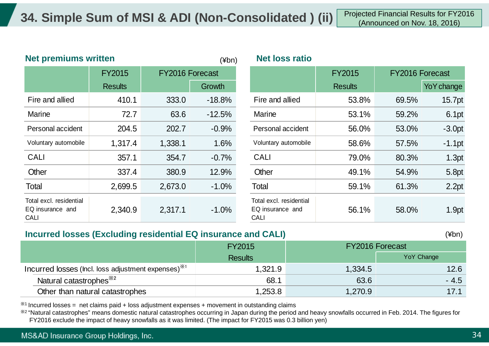|                                                     | <b>Net premiums written</b><br>$(\nexists b^n)$ |                 |          | <b>Net loss ratio</b>                                      |                |                        |            |
|-----------------------------------------------------|-------------------------------------------------|-----------------|----------|------------------------------------------------------------|----------------|------------------------|------------|
|                                                     | <b>FY2015</b>                                   | FY2016 Forecast |          |                                                            | <b>FY2015</b>  | <b>FY2016 Forecast</b> |            |
|                                                     | <b>Results</b>                                  |                 | Growth   |                                                            | <b>Results</b> |                        | YoY change |
| Fire and allied                                     | 410.1                                           | 333.0           | $-18.8%$ | Fire and allied                                            | 53.8%          | 69.5%                  | 15.7pt     |
| Marine                                              | 72.7                                            | 63.6            | $-12.5%$ | Marine                                                     | 53.1%          | 59.2%                  | 6.1pt      |
| Personal accident                                   | 204.5                                           | 202.7           | $-0.9%$  | Personal accident                                          | 56.0%          | 53.0%                  | $-3.0pt$   |
| Voluntary automobile                                | 1,317.4                                         | 1,338.1         | 1.6%     | Voluntary automobile                                       | 58.6%          | 57.5%                  | $-1.1$ pt  |
| <b>CALI</b>                                         | 357.1                                           | 354.7           | $-0.7%$  | <b>CALI</b>                                                | 79.0%          | 80.3%                  | 1.3pt      |
| Other                                               | 337.4                                           | 380.9           | 12.9%    | Other                                                      | 49.1%          | 54.9%                  | 5.8pt      |
| Total                                               | 2,699.5                                         | 2,673.0         | $-1.0%$  | Total                                                      | 59.1%          | 61.3%                  | 2.2pt      |
| Total excl. residential<br>EQ insurance and<br>CALI | 2,340.9                                         | 2,317.1         | $-1.0\%$ | Total excl. residential<br>EQ insurance and<br><b>CALI</b> | 56.1%          | 58.0%                  | 1.9pt      |

#### **Incurred losses (Excluding residential EQ insurance and CALI)**

(¥bn)

|                                                                 | <b>FY2015</b>  | <b>FY2016 Forecast</b> |            |
|-----------------------------------------------------------------|----------------|------------------------|------------|
|                                                                 | <b>Results</b> |                        | YoY Change |
| Incurred losses (lncl. loss adjustment expenses) <sup>**1</sup> | 1,321.9        | 1,334.5                | 12.6       |
| Natural catastrophes <sup>**2</sup>                             | 68.1           | 63.6                   | $-4.5$     |
| Other than natural catastrophes                                 | 1,253.8        | 1,270.9                | 17.1       |

 $*$ <sup>1</sup> Incurred losses = net claims paid + loss adjustment expenses + movement in outstanding claims

※2 "Natural catastrophes" means domestic natural catastrophes occurring in Japan during the period and heavy snowfalls occurred in Feb. 2014. The figures for FY2016 exclude the impact of heavy snowfalls as it was limited. (The impact for FY2015 was 0.3 billion yen)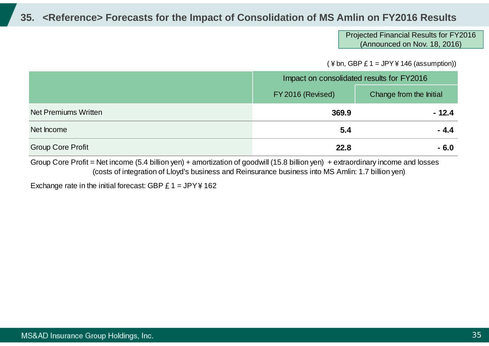### **35. <Reference> Forecasts for the Impact of Consolidation of MS Amlin on FY2016 Results**

#### Projected Financial Results for FY2016 (Announced on Nov. 18, 2016)

 $($  ¥ bn, GBP £ 1 = JPY ¥ 146 (assumption))

|                             | Impact on consolidated results for FY2016 |                         |
|-----------------------------|-------------------------------------------|-------------------------|
|                             | FY 2016 (Revised)                         | Change from the Initial |
| <b>Net Premiums Written</b> | 369.9                                     | $-12.4$                 |
| Net Income                  | 5.4                                       | $-4.4$                  |
| <b>Group Core Profit</b>    | 22.8                                      | $-6.0$                  |

Group Core Profit = Net income (5.4 billion yen) + amortization of goodwill (15.8 billion yen) + extraordinary income and losses (costs of integration of Lloyd's business and Reinsurance business into MS Amlin: 1.7 billion yen)

Exchange rate in the initial forecast: GBP  $E 1 = JPY4162$